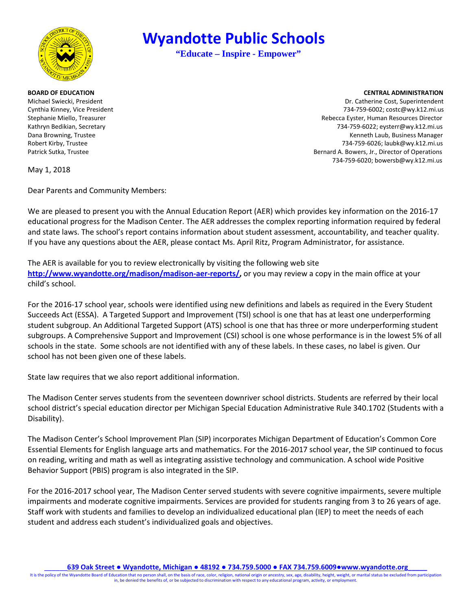

# Robert Kirby, Trustee

## **Wyandotte Public Schools**

**"Educate – Inspire - Empower"** 

#### **BOARD OF EDUCATION** CENTRAL ADMINISTRATION

Michael Swiecki, President Dr. Catherine Cost, Superintendent Cynthia Kinney, Vice President 734-759-6002; costc@wy.k12.mi.us Stephanie Miello, Treasurer Rebecca Eyster, Human Resources Director Kathryn Bedikian, Secretary 734-759-6022; eysterr@wy.k12.mi.us Dana Browning, Trustee **Kenneth Laub, Business Manager** Channel Channel Channel Channel Channel Channel Channel Channel Channel Channel Channel Channel Channel Channel Channel Channel Channel Channel Channel Channel Channe 734-759-6026; laubk@wy.k12.mi.us Patrick Sutka, Trustee **Bernard A. Bowers, Jr., Director of Operations** 734-759-6020; bowersb@wy.k12.mi.us

May 1, 2018

Dear Parents and Community Members:

 We are pleased to present you with the Annual Education Report (AER) which provides key information on the 2016-17 educational progress for the Madison Center. The AER addresses the complex reporting information required by federal and state laws. The school's report contains information about student assessment, accountability, and teacher quality. If you have any questions about the AER, please contact Ms. April Ritz, Program Administrator, for assistance.

 The AER is available for you to review electronically by visiting the following web site **[http://www.wyandotte.org/madison/madison](http://www.wyandotte.org/madison/madison-aer-reports/)-aer-reports/,** or you may review a copy in the main office at your child's school.

 student subgroup. An Additional Targeted Support (ATS) school is one that has three or more underperforming student subgroups. A Comprehensive Support and Improvement (CSI) school is one whose performance is in the lowest 5% of all schools in the state. Some schools are not identified with any of these labels. In these cases, no label is given. Our For the 2016-17 school year, schools were identified using new definitions and labels as required in the Every Student Succeeds Act (ESSA). A Targeted Support and Improvement (TSI) school is one that has at least one underperforming school has not been given one of these labels.

State law requires that we also report additional information.

The Madison Center serves students from the seventeen downriver school districts. Students are referred by their local school district's special education director per Michigan Special Education Administrative Rule 340.1702 (Students with a Disability).

 The Madison Center's School Improvement Plan (SIP) incorporates Michigan Department of Education's Common Core Essential Elements for English language arts and mathematics. For the 2016-2017 school year, the SIP continued to focus on reading, writing and math as well as integrating assistive technology and communication. A school wide Positive Behavior Support (PBIS) program is also integrated in the SIP.

 impairments and moderate cognitive impairments. Services are provided for students ranging from 3 to 26 years of age. For the 2016-2017 school year, The Madison Center served students with severe cognitive impairments, severe multiple Staff work with students and families to develop an individualized educational plan (IEP) to meet the needs of each student and address each student's individualized goals and objectives.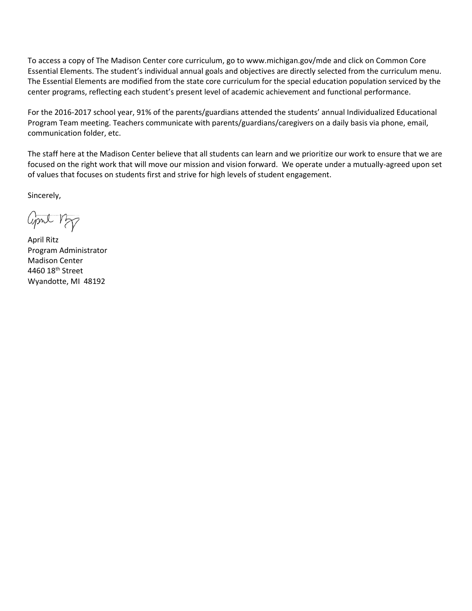Essential Elements. The student's individual annual goals and objectives are directly selected from the curriculum menu. The Essential Elements are modified from the state core curriculum for the special education population serviced by the To access a copy of The Madison Center core curriculum, go to <www.michigan.gov/mde> and click on Common Core center programs, reflecting each student's present level of academic achievement and functional performance.

 Program Team meeting. Teachers communicate with parents/guardians/caregivers on a daily basis via phone, email, For the 2016-2017 school year, 91% of the parents/guardians attended the students' annual Individualized Educational communication folder, etc.

 The staff here at the Madison Center believe that all students can learn and we prioritize our work to ensure that we are focused on the right work that will move our mission and vision forward. We operate under a mutually-agreed upon set of values that focuses on students first and strive for high levels of student engagement.

Sincerely,

april 12p

4460 18<sup>th</sup> Street April Ritz Program Administrator Madison Center Wyandotte, MI 48192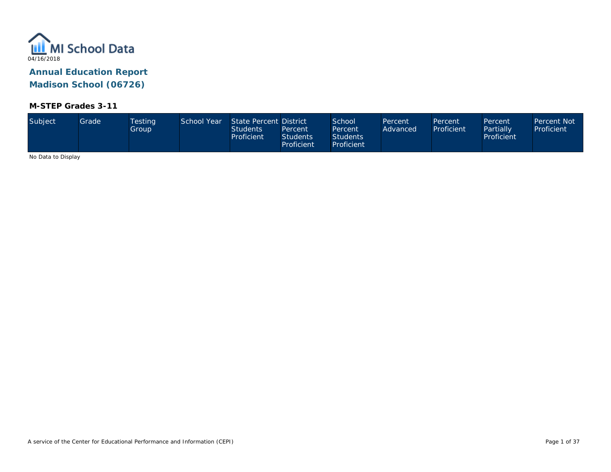

#### **M-STEP Grades 3-11**

| Proficient<br>Proficient | Subject | Grade | <b>Testing</b><br>Group | School Year | State Percent District<br><b>Students</b><br>Proficient | Percent<br><b>Students</b> | School<br>Percent<br><b>Students</b> | Percent<br>Advanced | Percent<br>Proficient | Percent<br>Partially<br>Proficient | Percent Not<br>Proficient |
|--------------------------|---------|-------|-------------------------|-------------|---------------------------------------------------------|----------------------------|--------------------------------------|---------------------|-----------------------|------------------------------------|---------------------------|
|--------------------------|---------|-------|-------------------------|-------------|---------------------------------------------------------|----------------------------|--------------------------------------|---------------------|-----------------------|------------------------------------|---------------------------|

No Data to Display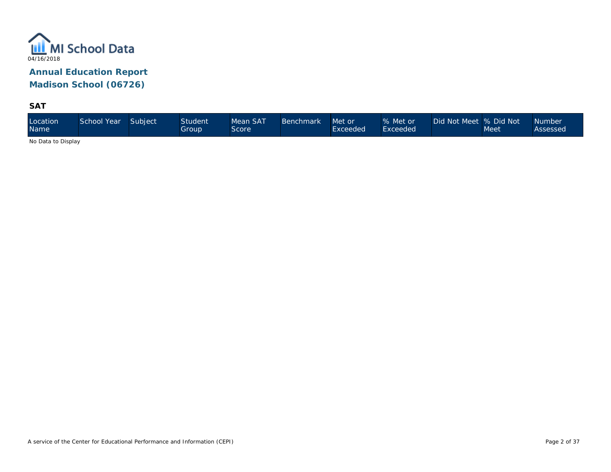

**SAT** 

No Data to Display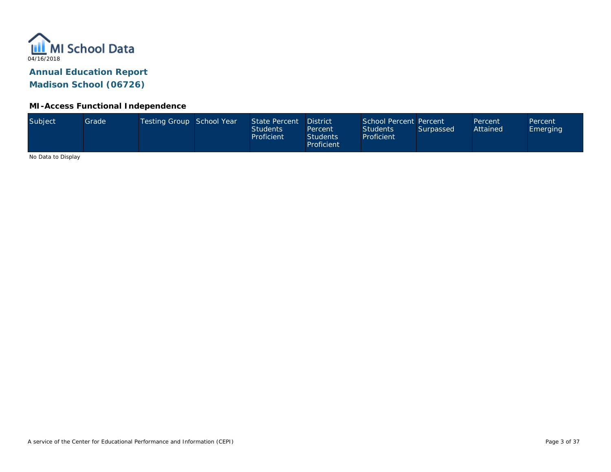

#### **MI-Access Functional Independence**

No Data to Display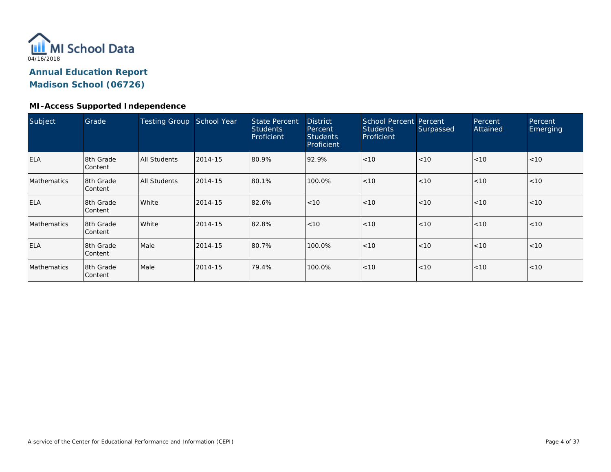

#### **MI-Access Supported Independence**

| Subject            | Grade                | <b>Testing Group</b> | School Year | <b>State Percent</b><br><b>Students</b><br>Proficient | <b>District</b><br>Percent<br><b>Students</b><br>Proficient | School Percent Percent<br><b>Students</b><br>Proficient | Surpassed | Percent<br>Attained | Percent<br>Emerging |
|--------------------|----------------------|----------------------|-------------|-------------------------------------------------------|-------------------------------------------------------------|---------------------------------------------------------|-----------|---------------------|---------------------|
| <b>ELA</b>         | 8th Grade<br>Content | <b>All Students</b>  | 2014-15     | 80.9%                                                 | 92.9%                                                       | < 10                                                    | < 10      | < 10                | < 10                |
| <b>Mathematics</b> | 8th Grade<br>Content | <b>All Students</b>  | 2014-15     | 80.1%                                                 | 100.0%                                                      | < 10                                                    | < 10      | < 10                | < 10                |
| <b>ELA</b>         | 8th Grade<br>Content | White                | 2014-15     | 82.6%                                                 | < 10                                                        | < 10                                                    | < 10      | < 10                | <10                 |
| <b>Mathematics</b> | 8th Grade<br>Content | White                | 2014-15     | 82.8%                                                 | < 10                                                        | < 10                                                    | < 10      | < 10                | < 10                |
| <b>ELA</b>         | 8th Grade<br>Content | Male                 | 2014-15     | 80.7%                                                 | 100.0%                                                      | < 10                                                    | < 10      | < 10                | < 10                |
| <b>Mathematics</b> | 8th Grade<br>Content | Male                 | 2014-15     | 79.4%                                                 | 100.0%                                                      | < 10                                                    | < 10      | < 10                | < 10                |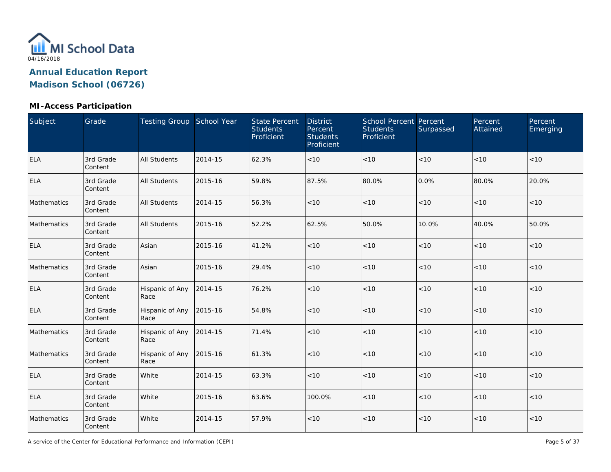

| Subject     | Grade                | Testing Group School Year |         | <b>State Percent</b><br><b>Students</b><br>Proficient | <b>District</b><br>Percent<br><b>Students</b><br>Proficient | <b>School Percent Percent</b><br><b>Students</b><br>Proficient | Surpassed | Percent<br>Attained | Percent<br>Emerging |
|-------------|----------------------|---------------------------|---------|-------------------------------------------------------|-------------------------------------------------------------|----------------------------------------------------------------|-----------|---------------------|---------------------|
| ELA         | 3rd Grade<br>Content | <b>All Students</b>       | 2014-15 | 62.3%                                                 | < 10                                                        | < 10                                                           | $<10$     | < 10                | $<10$               |
| <b>ELA</b>  | 3rd Grade<br>Content | <b>All Students</b>       | 2015-16 | 59.8%                                                 | 87.5%                                                       | 80.0%                                                          | 0.0%      | 80.0%               | 20.0%               |
| Mathematics | 3rd Grade<br>Content | <b>All Students</b>       | 2014-15 | 56.3%                                                 | < 10                                                        | < 10                                                           | $<10$     | <10                 | $<10$               |
| Mathematics | 3rd Grade<br>Content | <b>All Students</b>       | 2015-16 | 52.2%                                                 | 62.5%                                                       | 50.0%                                                          | 10.0%     | 40.0%               | 50.0%               |
| <b>ELA</b>  | 3rd Grade<br>Content | Asian                     | 2015-16 | 41.2%                                                 | < 10                                                        | < 10                                                           | $<10$     | < 10                | < 10                |
| Mathematics | 3rd Grade<br>Content | Asian                     | 2015-16 | 29.4%                                                 | < 10                                                        | < 10                                                           | < 10      | < 10                | < 10                |
| ELA         | 3rd Grade<br>Content | Hispanic of Any<br>Race   | 2014-15 | 76.2%                                                 | < 10                                                        | $<10$                                                          | < 10      | $<10$               | < 10                |
| <b>ELA</b>  | 3rd Grade<br>Content | Hispanic of Any<br>Race   | 2015-16 | 54.8%                                                 | < 10                                                        | $<10$                                                          | $<10$     | $<10$               | < 10                |
| Mathematics | 3rd Grade<br>Content | Hispanic of Any<br>Race   | 2014-15 | 71.4%                                                 | < 10                                                        | < 10                                                           | $<10$     | $<10$               | $<10$               |
| Mathematics | 3rd Grade<br>Content | Hispanic of Any<br>Race   | 2015-16 | 61.3%                                                 | < 10                                                        | < 10                                                           | < 10      | <10                 | < 10                |
| <b>ELA</b>  | 3rd Grade<br>Content | White                     | 2014-15 | 63.3%                                                 | < 10                                                        | < 10                                                           | $<10$     | $<10$               | < 10                |
| <b>ELA</b>  | 3rd Grade<br>Content | White                     | 2015-16 | 63.6%                                                 | 100.0%                                                      | < 10                                                           | $<10$     | $<10$               | $<10$               |
| Mathematics | 3rd Grade<br>Content | White                     | 2014-15 | 57.9%                                                 | < 10                                                        | < 10                                                           | $<10$     | $<10$               | $<10$               |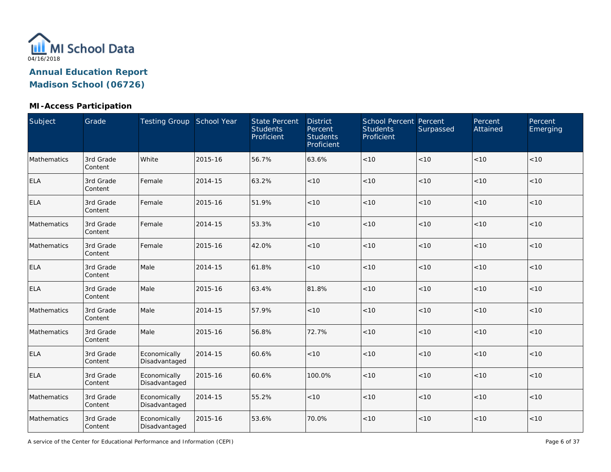

#### **MI-Access Participation**

| Subject     | Grade                | Testing Group School Year     |         | <b>State Percent</b><br><b>Students</b><br>Proficient | <b>District</b><br>Percent<br><b>Students</b><br>Proficient | <b>School Percent Percent</b><br><b>Students</b><br>Proficient | Surpassed | Percent<br>Attained | Percent<br>Emerging |
|-------------|----------------------|-------------------------------|---------|-------------------------------------------------------|-------------------------------------------------------------|----------------------------------------------------------------|-----------|---------------------|---------------------|
| Mathematics | 3rd Grade<br>Content | White                         | 2015-16 | 56.7%                                                 | 63.6%                                                       | < 10                                                           | < 10      | $<10$               | < 10                |
| <b>ELA</b>  | 3rd Grade<br>Content | Female                        | 2014-15 | 63.2%                                                 | < 10                                                        | < 10                                                           | < 10      | < 10                | < 10                |
| <b>ELA</b>  | 3rd Grade<br>Content | Female                        | 2015-16 | 51.9%                                                 | < 10                                                        | < 10                                                           | < 10      | < 10                | < 10                |
| Mathematics | 3rd Grade<br>Content | Female                        | 2014-15 | 53.3%                                                 | < 10                                                        | < 10                                                           | $<10$     | $<10$               | $<10$               |
| Mathematics | 3rd Grade<br>Content | Female                        | 2015-16 | 42.0%                                                 | < 10                                                        | < 10                                                           | < 10      | < 10                | < 10                |
| <b>ELA</b>  | 3rd Grade<br>Content | Male                          | 2014-15 | 61.8%                                                 | < 10                                                        | < 10                                                           | $<10$     | < 10                | < 10                |
| <b>ELA</b>  | 3rd Grade<br>Content | Male                          | 2015-16 | 63.4%                                                 | 81.8%                                                       | $<10$                                                          | < 10      | < 10                | < 10                |
| Mathematics | 3rd Grade<br>Content | Male                          | 2014-15 | 57.9%                                                 | < 10                                                        | $<10$                                                          | < 10      | $<10$               | < 10                |
| Mathematics | 3rd Grade<br>Content | Male                          | 2015-16 | 56.8%                                                 | 72.7%                                                       | $<10$                                                          | $<10$     | $<10$               | $<10$               |
| <b>ELA</b>  | 3rd Grade<br>Content | Economically<br>Disadvantaged | 2014-15 | 60.6%                                                 | < 10                                                        | $<10$                                                          | $<10$     | $<10$               | < 10                |
| <b>ELA</b>  | 3rd Grade<br>Content | Economically<br>Disadvantaged | 2015-16 | 60.6%                                                 | 100.0%                                                      | $<10$                                                          | $<10$     | $<10$               | $<10$               |
| Mathematics | 3rd Grade<br>Content | Economically<br>Disadvantaged | 2014-15 | 55.2%                                                 | < 10                                                        | $<10$                                                          | $<10$     | $<10$               | < 10                |
| Mathematics | 3rd Grade<br>Content | Economically<br>Disadvantaged | 2015-16 | 53.6%                                                 | 70.0%                                                       | < 10                                                           | $<10$     | $<10$               | $<10$               |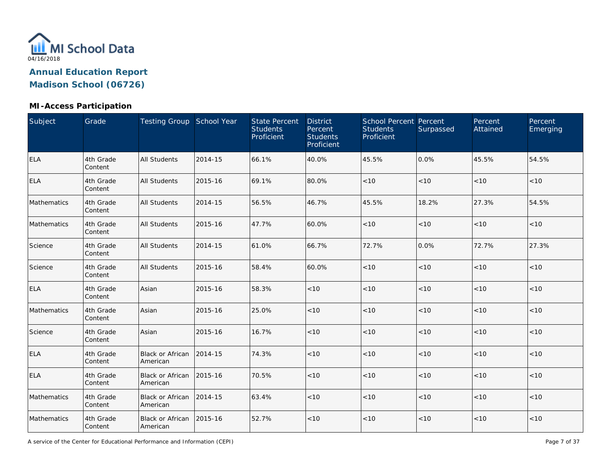

#### **MI-Access Participation**

| Subject     | Grade                | Testing Group School Year           |         | <b>State Percent</b><br><b>Students</b><br>Proficient | <b>District</b><br>Percent<br><b>Students</b><br>Proficient | <b>School Percent Percent</b><br><b>Students</b><br>Proficient | Surpassed | Percent<br>Attained | Percent<br>Emerging |
|-------------|----------------------|-------------------------------------|---------|-------------------------------------------------------|-------------------------------------------------------------|----------------------------------------------------------------|-----------|---------------------|---------------------|
| <b>ELA</b>  | 4th Grade<br>Content | <b>All Students</b>                 | 2014-15 | 66.1%                                                 | 40.0%                                                       | 45.5%                                                          | 0.0%      | 45.5%               | 54.5%               |
| <b>ELA</b>  | 4th Grade<br>Content | All Students                        | 2015-16 | 69.1%                                                 | 80.0%                                                       | < 10                                                           | < 10      | < 10                | < 10                |
| Mathematics | 4th Grade<br>Content | All Students                        | 2014-15 | 56.5%                                                 | 46.7%                                                       | 45.5%                                                          | 18.2%     | 27.3%               | 54.5%               |
| Mathematics | 4th Grade<br>Content | All Students                        | 2015-16 | 47.7%                                                 | 60.0%                                                       | < 10                                                           | < 10      | $<10$               | $<10$               |
| Science     | 4th Grade<br>Content | <b>All Students</b>                 | 2014-15 | 61.0%                                                 | 66.7%                                                       | 72.7%                                                          | 0.0%      | 72.7%               | 27.3%               |
| Science     | 4th Grade<br>Content | <b>All Students</b>                 | 2015-16 | 58.4%                                                 | 60.0%                                                       | < 10                                                           | < 10      | < 10                | < 10                |
| <b>ELA</b>  | 4th Grade<br>Content | Asian                               | 2015-16 | 58.3%                                                 | < 10                                                        | < 10                                                           | < 10      | < 10                | < 10                |
| Mathematics | 4th Grade<br>Content | Asian                               | 2015-16 | 25.0%                                                 | < 10                                                        | < 10                                                           | < 10      | < 10                | < 10                |
| Science     | 4th Grade<br>Content | Asian                               | 2015-16 | 16.7%                                                 | < 10                                                        | < 10                                                           | < 10      | < 10                | < 10                |
| ELA         | 4th Grade<br>Content | <b>Black or African</b><br>American | 2014-15 | 74.3%                                                 | < 10                                                        | < 10                                                           | < 10      | < 10                | < 10                |
| <b>ELA</b>  | 4th Grade<br>Content | <b>Black or African</b><br>American | 2015-16 | 70.5%                                                 | < 10                                                        | < 10                                                           | < 10      | < 10                | < 10                |
| Mathematics | 4th Grade<br>Content | <b>Black or African</b><br>American | 2014-15 | 63.4%                                                 | < 10                                                        | < 10                                                           | < 10      | < 10                | < 10                |
| Mathematics | 4th Grade<br>Content | Black or African<br>American        | 2015-16 | 52.7%                                                 | < 10                                                        | < 10                                                           | $<10$     | < 10                | $<10$               |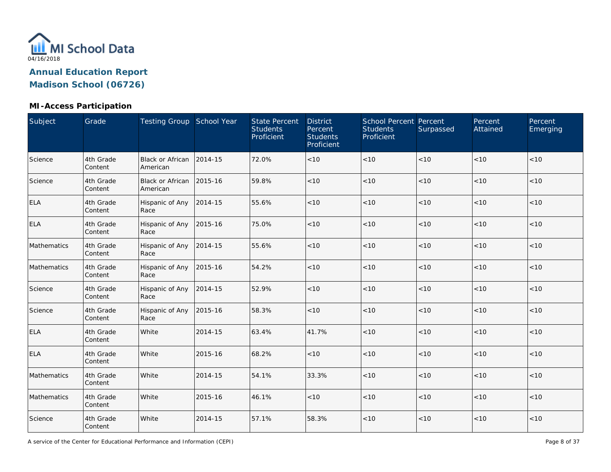

#### **MI-Access Participation**

| Subject     | Grade                | Testing Group School Year           |         | <b>State Percent</b><br><b>Students</b><br>Proficient | <b>District</b><br>Percent<br><b>Students</b><br>Proficient | <b>School Percent Percent</b><br><b>Students</b><br>Proficient | Surpassed | Percent<br>Attained | Percent<br>Emerging |
|-------------|----------------------|-------------------------------------|---------|-------------------------------------------------------|-------------------------------------------------------------|----------------------------------------------------------------|-----------|---------------------|---------------------|
| Science     | 4th Grade<br>Content | <b>Black or African</b><br>American | 2014-15 | 72.0%                                                 | < 10                                                        | $<10$                                                          | < 10      | < 10                | < 10                |
| Science     | 4th Grade<br>Content | <b>Black or African</b><br>American | 2015-16 | 59.8%                                                 | < 10                                                        | < 10                                                           | $<10$     | < 10                | < 10                |
| <b>ELA</b>  | 4th Grade<br>Content | Hispanic of Any<br>Race             | 2014-15 | 55.6%                                                 | < 10                                                        | < 10                                                           | $<10$     | < 10                | < 10                |
| <b>ELA</b>  | 4th Grade<br>Content | Hispanic of Any<br>Race             | 2015-16 | 75.0%                                                 | < 10                                                        | $<10$                                                          | < 10      | $<10$               | < 10                |
| Mathematics | 4th Grade<br>Content | Hispanic of Any<br>Race             | 2014-15 | 55.6%                                                 | < 10                                                        | < 10                                                           | < 10      | < 10                | < 10                |
| Mathematics | 4th Grade<br>Content | Hispanic of Any<br>Race             | 2015-16 | 54.2%                                                 | < 10                                                        | < 10                                                           | < 10      | < 10                | < 10                |
| Science     | 4th Grade<br>Content | Hispanic of Any<br>Race             | 2014-15 | 52.9%                                                 | < 10                                                        | < 10                                                           | < 10      | < 10                | < 10                |
| Science     | 4th Grade<br>Content | Hispanic of Any<br>Race             | 2015-16 | 58.3%                                                 | < 10                                                        | $<10$                                                          | < 10      | < 10                | < 10                |
| <b>ELA</b>  | 4th Grade<br>Content | White                               | 2014-15 | 63.4%                                                 | 41.7%                                                       | < 10                                                           | < 10      | < 10                | < 10                |
| <b>ELA</b>  | 4th Grade<br>Content | White                               | 2015-16 | 68.2%                                                 | < 10                                                        | $<10$                                                          | $<10$     | < 10                | < 10                |
| Mathematics | 4th Grade<br>Content | White                               | 2014-15 | 54.1%                                                 | 33.3%                                                       | < 10                                                           | $<10$     | < 10                | < 10                |
| Mathematics | 4th Grade<br>Content | White                               | 2015-16 | 46.1%                                                 | < 10                                                        | < 10                                                           | $<10$     | < 10                | < 10                |
| Science     | 4th Grade<br>Content | White                               | 2014-15 | 57.1%                                                 | 58.3%                                                       | $<10$                                                          | $<10$     | $<10$               | < 10                |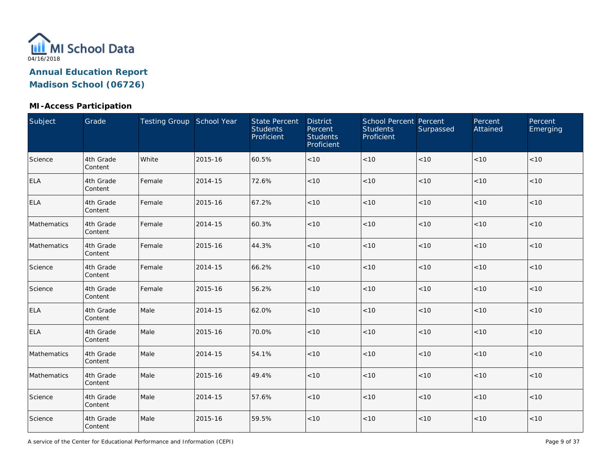

| Subject     | Grade                | Testing Group School Year |         | <b>State Percent</b><br><b>Students</b><br>Proficient | <b>District</b><br>Percent<br><b>Students</b><br>Proficient | <b>School Percent Percent</b><br><b>Students</b><br>Proficient | Surpassed | Percent<br>Attained | Percent<br>Emerging |
|-------------|----------------------|---------------------------|---------|-------------------------------------------------------|-------------------------------------------------------------|----------------------------------------------------------------|-----------|---------------------|---------------------|
| Science     | 4th Grade<br>Content | White                     | 2015-16 | 60.5%                                                 | < 10                                                        | < 10                                                           | $<10$     | < 10                | $<10$               |
| ELA         | 4th Grade<br>Content | Female                    | 2014-15 | 72.6%                                                 | < 10                                                        | < 10                                                           | < 10      | < 10                | < 10                |
| <b>ELA</b>  | 4th Grade<br>Content | Female                    | 2015-16 | 67.2%                                                 | < 10                                                        | < 10                                                           | $<10$     | <10                 | $<10$               |
| Mathematics | 4th Grade<br>Content | Female                    | 2014-15 | 60.3%                                                 | < 10                                                        | < 10                                                           | < 10      | < 10                | $<10$               |
| Mathematics | 4th Grade<br>Content | Female                    | 2015-16 | 44.3%                                                 | < 10                                                        | < 10                                                           | $<10$     | < 10                | $<10$               |
| Science     | 4th Grade<br>Content | Female                    | 2014-15 | 66.2%                                                 | < 10                                                        | < 10                                                           | < 10      | < 10                | < 10                |
| Science     | 4th Grade<br>Content | Female                    | 2015-16 | 56.2%                                                 | < 10                                                        | $<10$                                                          | < 10      | $<10$               | < 10                |
| <b>ELA</b>  | 4th Grade<br>Content | Male                      | 2014-15 | 62.0%                                                 | < 10                                                        | $<10$                                                          | $<10$     | < 10                | $<10$               |
| <b>ELA</b>  | 4th Grade<br>Content | Male                      | 2015-16 | 70.0%                                                 | < 10                                                        | < 10                                                           | $<10$     | < 10                | < 10                |
| Mathematics | 4th Grade<br>Content | Male                      | 2014-15 | 54.1%                                                 | < 10                                                        | < 10                                                           | $<10$     | <10                 | < 10                |
| Mathematics | 4th Grade<br>Content | Male                      | 2015-16 | 49.4%                                                 | < 10                                                        | < 10                                                           | $<10$     | < 10                | < 10                |
| Science     | 4th Grade<br>Content | Male                      | 2014-15 | 57.6%                                                 | < 10                                                        | < 10                                                           | $<10$     | $<10$               | $<10$               |
| Science     | 4th Grade<br>Content | Male                      | 2015-16 | 59.5%                                                 | < 10                                                        | < 10                                                           | $<10$     | $<10$               | $<10$               |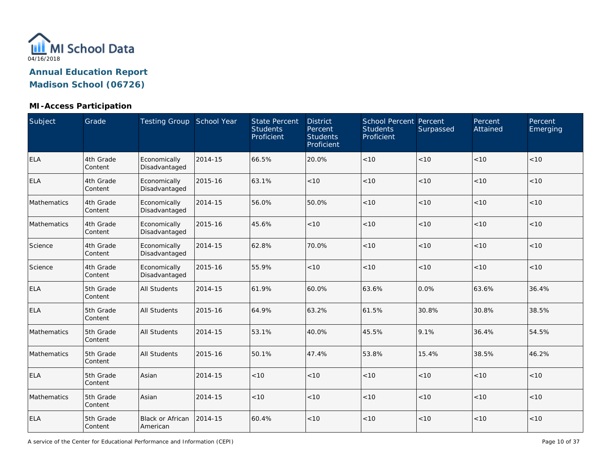

| Subject     | Grade                | Testing Group School Year           |         | <b>State Percent</b><br><b>Students</b><br>Proficient | <b>District</b><br>Percent<br><b>Students</b><br>Proficient | <b>School Percent Percent</b><br><b>Students</b><br>Proficient | Surpassed | Percent<br>Attained | Percent<br>Emerging |
|-------------|----------------------|-------------------------------------|---------|-------------------------------------------------------|-------------------------------------------------------------|----------------------------------------------------------------|-----------|---------------------|---------------------|
| <b>ELA</b>  | 4th Grade<br>Content | Economically<br>Disadvantaged       | 2014-15 | 66.5%                                                 | 20.0%                                                       | < 10                                                           | < 10      | < 10                | < 10                |
| <b>ELA</b>  | 4th Grade<br>Content | Economically<br>Disadvantaged       | 2015-16 | 63.1%                                                 | $<10$                                                       | < 10                                                           | < 10      | < 10                | < 10                |
| Mathematics | 4th Grade<br>Content | Economically<br>Disadvantaged       | 2014-15 | 56.0%                                                 | 50.0%                                                       | < 10                                                           | < 10      | < 10                | < 10                |
| Mathematics | 4th Grade<br>Content | Economically<br>Disadvantaged       | 2015-16 | 45.6%                                                 | < 10                                                        | < 10                                                           | < 10      | < 10                | < 10                |
| Science     | 4th Grade<br>Content | Economically<br>Disadvantaged       | 2014-15 | 62.8%                                                 | 70.0%                                                       | < 10                                                           | < 10      | < 10                | < 10                |
| Science     | 4th Grade<br>Content | Economically<br>Disadvantaged       | 2015-16 | 55.9%                                                 | < 10                                                        | < 10                                                           | < 10      | < 10                | < 10                |
| <b>ELA</b>  | 5th Grade<br>Content | All Students                        | 2014-15 | 61.9%                                                 | 60.0%                                                       | 63.6%                                                          | 0.0%      | 63.6%               | 36.4%               |
| <b>ELA</b>  | 5th Grade<br>Content | <b>All Students</b>                 | 2015-16 | 64.9%                                                 | 63.2%                                                       | 61.5%                                                          | 30.8%     | 30.8%               | 38.5%               |
| Mathematics | 5th Grade<br>Content | All Students                        | 2014-15 | 53.1%                                                 | 40.0%                                                       | 45.5%                                                          | 9.1%      | 36.4%               | 54.5%               |
| Mathematics | 5th Grade<br>Content | <b>All Students</b>                 | 2015-16 | 50.1%                                                 | 47.4%                                                       | 53.8%                                                          | 15.4%     | 38.5%               | 46.2%               |
| <b>ELA</b>  | 5th Grade<br>Content | Asian                               | 2014-15 | < 10                                                  | < 10                                                        | < 10                                                           | < 10      | < 10                | < 10                |
| Mathematics | 5th Grade<br>Content | Asian                               | 2014-15 | < 10                                                  | < 10                                                        | < 10                                                           | < 10      | < 10                | < 10                |
| <b>ELA</b>  | 5th Grade<br>Content | <b>Black or African</b><br>American | 2014-15 | 60.4%                                                 | $<10$                                                       | < 10                                                           | < 10      | < 10                | < 10                |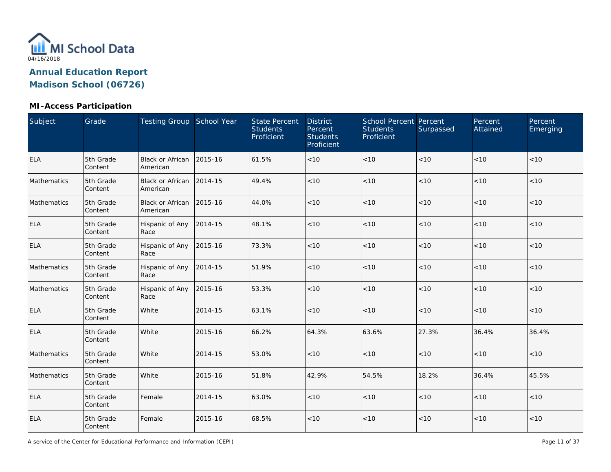

| Subject     | Grade                | Testing Group School Year           |         | <b>State Percent</b><br><b>Students</b><br>Proficient | <b>District</b><br>Percent<br><b>Students</b><br>Proficient | <b>School Percent Percent</b><br><b>Students</b><br>Proficient | Surpassed | Percent<br>Attained | Percent<br>Emerging |
|-------------|----------------------|-------------------------------------|---------|-------------------------------------------------------|-------------------------------------------------------------|----------------------------------------------------------------|-----------|---------------------|---------------------|
| <b>ELA</b>  | 5th Grade<br>Content | <b>Black or African</b><br>American | 2015-16 | 61.5%                                                 | < 10                                                        | $<10$                                                          | < 10      | < 10                | < 10                |
| Mathematics | 5th Grade<br>Content | <b>Black or African</b><br>American | 2014-15 | 49.4%                                                 | < 10                                                        | < 10                                                           | < 10      | < 10                | < 10                |
| Mathematics | 5th Grade<br>Content | <b>Black or African</b><br>American | 2015-16 | 44.0%                                                 | < 10                                                        | < 10                                                           | < 10      | < 10                | < 10                |
| <b>ELA</b>  | 5th Grade<br>Content | Hispanic of Any<br>Race             | 2014-15 | 48.1%                                                 | < 10                                                        | < 10                                                           | < 10      | < 10                | < 10                |
| <b>ELA</b>  | 5th Grade<br>Content | Hispanic of Any<br>Race             | 2015-16 | 73.3%                                                 | < 10                                                        | < 10                                                           | $<10$     | < 10                | < 10                |
| Mathematics | 5th Grade<br>Content | Hispanic of Any<br>Race             | 2014-15 | 51.9%                                                 | < 10                                                        | < 10                                                           | $<10$     | < 10                | < 10                |
| Mathematics | 5th Grade<br>Content | Hispanic of Any<br>Race             | 2015-16 | 53.3%                                                 | < 10                                                        | < 10                                                           | < 10      | < 10                | < 10                |
| <b>ELA</b>  | 5th Grade<br>Content | White                               | 2014-15 | 63.1%                                                 | < 10                                                        | $<10$                                                          | $<10$     | $<10$               | < 10                |
| <b>ELA</b>  | 5th Grade<br>Content | White                               | 2015-16 | 66.2%                                                 | 64.3%                                                       | 63.6%                                                          | 27.3%     | 36.4%               | 36.4%               |
| Mathematics | 5th Grade<br>Content | White                               | 2014-15 | 53.0%                                                 | < 10                                                        | < 10                                                           | < 10      | < 10                | < 10                |
| Mathematics | 5th Grade<br>Content | White                               | 2015-16 | 51.8%                                                 | 42.9%                                                       | 54.5%                                                          | 18.2%     | 36.4%               | 45.5%               |
| <b>ELA</b>  | 5th Grade<br>Content | Female                              | 2014-15 | 63.0%                                                 | < 10                                                        | $<10$                                                          | $<10$     | < 10                | < 10                |
| <b>ELA</b>  | 5th Grade<br>Content | Female                              | 2015-16 | 68.5%                                                 | < 10                                                        | < 10                                                           | $<10$     | $<10$               | < 10                |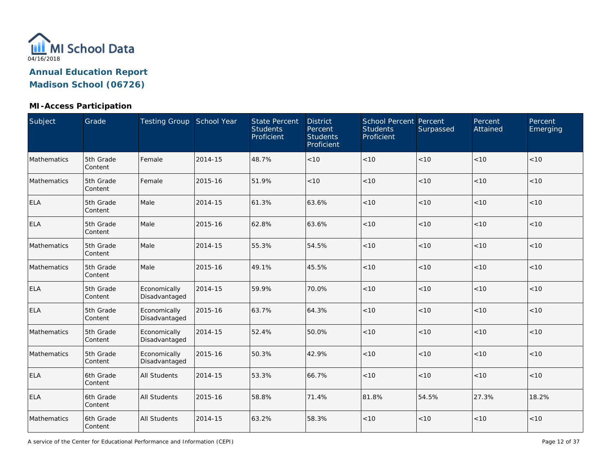

| Subject     | Grade                | Testing Group School Year     |         | <b>State Percent</b><br><b>Students</b><br>Proficient | <b>District</b><br>Percent<br><b>Students</b><br>Proficient | School Percent Percent<br><b>Students</b><br>Proficient | Surpassed | Percent<br>Attained | Percent<br>Emerging |
|-------------|----------------------|-------------------------------|---------|-------------------------------------------------------|-------------------------------------------------------------|---------------------------------------------------------|-----------|---------------------|---------------------|
| Mathematics | 5th Grade<br>Content | Female                        | 2014-15 | 48.7%                                                 | < 10                                                        | $<10$                                                   | $<10$     | $<10$               | $<10$               |
| Mathematics | 5th Grade<br>Content | Female                        | 2015-16 | 51.9%                                                 | < 10                                                        | < 10                                                    | < 10      | < 10                | < 10                |
| <b>ELA</b>  | 5th Grade<br>Content | Male                          | 2014-15 | 61.3%                                                 | 63.6%                                                       | < 10                                                    | < 10      | < 10                | < 10                |
| <b>ELA</b>  | 5th Grade<br>Content | Male                          | 2015-16 | 62.8%                                                 | 63.6%                                                       | < 10                                                    | < 10      | < 10                | < 10                |
| Mathematics | 5th Grade<br>Content | Male                          | 2014-15 | 55.3%                                                 | 54.5%                                                       | < 10                                                    | $<10$     | < 10                | < 10                |
| Mathematics | 5th Grade<br>Content | Male                          | 2015-16 | 49.1%                                                 | 45.5%                                                       | < 10                                                    | < 10      | < 10                | < 10                |
| <b>ELA</b>  | 5th Grade<br>Content | Economically<br>Disadvantaged | 2014-15 | 59.9%                                                 | 70.0%                                                       | $<10$                                                   | $<10$     | $<10$               | $<10$               |
| <b>ELA</b>  | 5th Grade<br>Content | Economically<br>Disadvantaged | 2015-16 | 63.7%                                                 | 64.3%                                                       | < 10                                                    | < 10      | < 10                | < 10                |
| Mathematics | 5th Grade<br>Content | Economically<br>Disadvantaged | 2014-15 | 52.4%                                                 | 50.0%                                                       | < 10                                                    | < 10      | < 10                | < 10                |
| Mathematics | 5th Grade<br>Content | Economically<br>Disadvantaged | 2015-16 | 50.3%                                                 | 42.9%                                                       | < 10                                                    | < 10      | < 10                | < 10                |
| <b>ELA</b>  | 6th Grade<br>Content | All Students                  | 2014-15 | 53.3%                                                 | 66.7%                                                       | $<10$                                                   | $<10$     | < 10                | < 10                |
| <b>ELA</b>  | 6th Grade<br>Content | All Students                  | 2015-16 | 58.8%                                                 | 71.4%                                                       | 81.8%                                                   | 54.5%     | 27.3%               | 18.2%               |
| Mathematics | 6th Grade<br>Content | All Students                  | 2014-15 | 63.2%                                                 | 58.3%                                                       | $<10$                                                   | $<10$     | < 10                | $<10$               |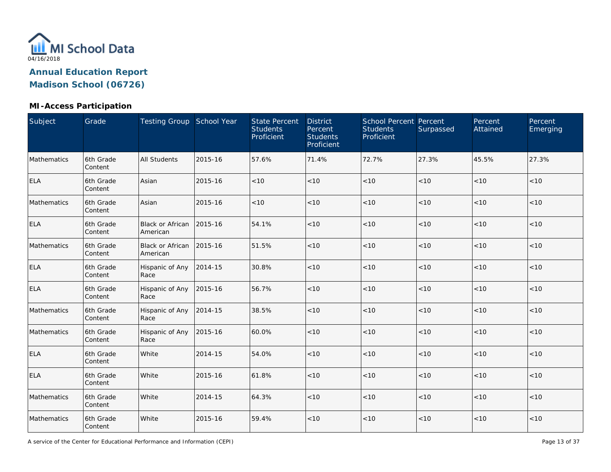

| Subject     | Grade                | Testing Group School Year           |         | <b>State Percent</b><br><b>Students</b><br>Proficient | <b>District</b><br>Percent<br><b>Students</b><br>Proficient | <b>School Percent Percent</b><br><b>Students</b><br>Proficient | Surpassed | Percent<br>Attained | Percent<br>Emerging |
|-------------|----------------------|-------------------------------------|---------|-------------------------------------------------------|-------------------------------------------------------------|----------------------------------------------------------------|-----------|---------------------|---------------------|
| Mathematics | 6th Grade<br>Content | <b>All Students</b>                 | 2015-16 | 57.6%                                                 | 71.4%                                                       | 72.7%                                                          | 27.3%     | 45.5%               | 27.3%               |
| <b>ELA</b>  | 6th Grade<br>Content | Asian                               | 2015-16 | < 10                                                  | < 10                                                        | < 10                                                           | < 10      | < 10                | < 10                |
| Mathematics | 6th Grade<br>Content | Asian                               | 2015-16 | < 10                                                  | < 10                                                        | < 10                                                           | $<10$     | <10                 | < 10                |
| ELA         | 6th Grade<br>Content | <b>Black or African</b><br>American | 2015-16 | 54.1%                                                 | < 10                                                        | < 10                                                           | < 10      | < 10                | < 10                |
| Mathematics | 6th Grade<br>Content | <b>Black or African</b><br>American | 2015-16 | 51.5%                                                 | < 10                                                        | < 10                                                           | $<10$     | < 10                | < 10                |
| <b>ELA</b>  | 6th Grade<br>Content | Hispanic of Any<br>Race             | 2014-15 | 30.8%                                                 | < 10                                                        | < 10                                                           | < 10      | < 10                | < 10                |
| <b>ELA</b>  | 6th Grade<br>Content | Hispanic of Any<br>Race             | 2015-16 | 56.7%                                                 | < 10                                                        | $<10$                                                          | < 10      | $<10$               | < 10                |
| Mathematics | 6th Grade<br>Content | Hispanic of Any<br>Race             | 2014-15 | 38.5%                                                 | < 10                                                        | $<10$                                                          | $<10$     | $<10$               | < 10                |
| Mathematics | 6th Grade<br>Content | Hispanic of Any<br>Race             | 2015-16 | 60.0%                                                 | < 10                                                        | < 10                                                           | < 10      | $<10$               | $<10$               |
| <b>ELA</b>  | 6th Grade<br>Content | White                               | 2014-15 | 54.0%                                                 | < 10                                                        | < 10                                                           | < 10      | <10                 | < 10                |
| <b>ELA</b>  | 6th Grade<br>Content | White                               | 2015-16 | 61.8%                                                 | < 10                                                        | < 10                                                           | $<10$     | $<10$               | < 10                |
| Mathematics | 6th Grade<br>Content | White                               | 2014-15 | 64.3%                                                 | < 10                                                        | < 10                                                           | $<10$     | $<10$               | $<10$               |
| Mathematics | 6th Grade<br>Content | White                               | 2015-16 | 59.4%                                                 | < 10                                                        | < 10                                                           | $<10$     | < 10                | $<10$               |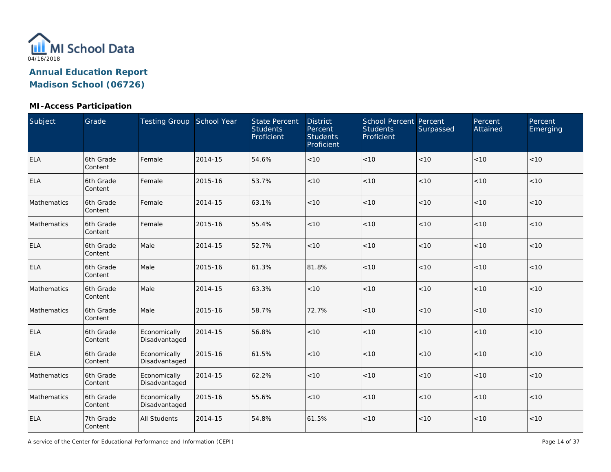

#### **MI-Access Participation**

| Subject     | Grade                | Testing Group School Year     |         | <b>State Percent</b><br><b>Students</b><br>Proficient | <b>District</b><br>Percent<br><b>Students</b><br>Proficient | <b>School Percent Percent</b><br><b>Students</b><br>Proficient | Surpassed | Percent<br>Attained | Percent<br>Emerging |
|-------------|----------------------|-------------------------------|---------|-------------------------------------------------------|-------------------------------------------------------------|----------------------------------------------------------------|-----------|---------------------|---------------------|
| <b>ELA</b>  | 6th Grade<br>Content | Female                        | 2014-15 | 54.6%                                                 | < 10                                                        | < 10                                                           | < 10      | $<10$               | < 10                |
| <b>ELA</b>  | 6th Grade<br>Content | Female                        | 2015-16 | 53.7%                                                 | < 10                                                        | < 10                                                           | < 10      | < 10                | $<10$               |
| Mathematics | 6th Grade<br>Content | Female                        | 2014-15 | 63.1%                                                 | < 10                                                        | < 10                                                           | < 10      | < 10                | < 10                |
| Mathematics | 6th Grade<br>Content | Female                        | 2015-16 | 55.4%                                                 | $<10$                                                       | < 10                                                           | < 10      | < 10                | $<10$               |
| <b>ELA</b>  | 6th Grade<br>Content | Male                          | 2014-15 | 52.7%                                                 | < 10                                                        | < 10                                                           | < 10      | < 10                | < 10                |
| <b>ELA</b>  | 6th Grade<br>Content | Male                          | 2015-16 | 61.3%                                                 | 81.8%                                                       | < 10                                                           | < 10      | < 10                | < 10                |
| Mathematics | 6th Grade<br>Content | Male                          | 2014-15 | 63.3%                                                 | < 10                                                        | < 10                                                           | < 10      | < 10                | < 10                |
| Mathematics | 6th Grade<br>Content | Male                          | 2015-16 | 58.7%                                                 | 72.7%                                                       | < 10                                                           | < 10      | < 10                | < 10                |
| <b>ELA</b>  | 6th Grade<br>Content | Economically<br>Disadvantaged | 2014-15 | 56.8%                                                 | < 10                                                        | < 10                                                           | < 10      | < 10                | < 10                |
| <b>ELA</b>  | 6th Grade<br>Content | Economically<br>Disadvantaged | 2015-16 | 61.5%                                                 | < 10                                                        | < 10                                                           | < 10      | < 10                | < 10                |
| Mathematics | 6th Grade<br>Content | Economically<br>Disadvantaged | 2014-15 | 62.2%                                                 | < 10                                                        | < 10                                                           | < 10      | < 10                | < 10                |
| Mathematics | 6th Grade<br>Content | Economically<br>Disadvantaged | 2015-16 | 55.6%                                                 | < 10                                                        | < 10                                                           | < 10      | < 10                | < 10                |
| <b>ELA</b>  | 7th Grade<br>Content | <b>All Students</b>           | 2014-15 | 54.8%                                                 | 61.5%                                                       | < 10                                                           | $<10$     | $<10$               | $<10$               |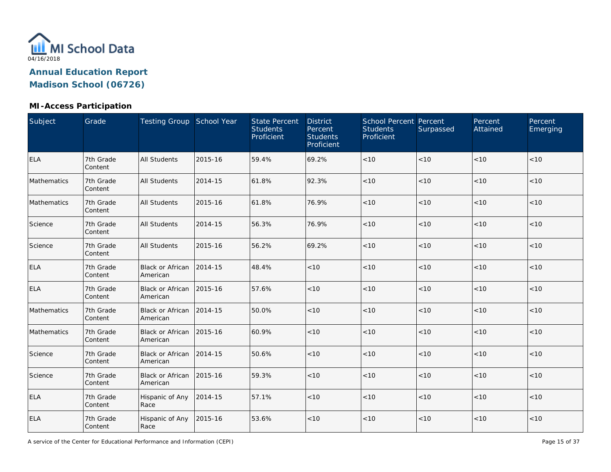

#### **MI-Access Participation**

| Subject     | Grade                | Testing Group School Year           |         | <b>State Percent</b><br><b>Students</b><br>Proficient | <b>District</b><br>Percent<br><b>Students</b><br>Proficient | <b>School Percent Percent</b><br><b>Students</b><br>Proficient | Surpassed | Percent<br>Attained | Percent<br>Emerging |
|-------------|----------------------|-------------------------------------|---------|-------------------------------------------------------|-------------------------------------------------------------|----------------------------------------------------------------|-----------|---------------------|---------------------|
| <b>ELA</b>  | 7th Grade<br>Content | <b>All Students</b>                 | 2015-16 | 59.4%                                                 | 69.2%                                                       | < 10                                                           | < 10      | $<10$               | < 10                |
| Mathematics | 7th Grade<br>Content | <b>All Students</b>                 | 2014-15 | 61.8%                                                 | 92.3%                                                       | $<10$                                                          | < 10      | < 10                | < 10                |
| Mathematics | 7th Grade<br>Content | <b>All Students</b>                 | 2015-16 | 61.8%                                                 | 76.9%                                                       | $<10$                                                          | < 10      | < 10                | < 10                |
| Science     | 7th Grade<br>Content | All Students                        | 2014-15 | 56.3%                                                 | 76.9%                                                       | < 10                                                           | $<10$     | $<10$               | $<10$               |
| Science     | 7th Grade<br>Content | <b>All Students</b>                 | 2015-16 | 56.2%                                                 | 69.2%                                                       | <10                                                            | $<10$     | <10                 | < 10                |
| <b>ELA</b>  | 7th Grade<br>Content | <b>Black or African</b><br>American | 2014-15 | 48.4%                                                 | < 10                                                        | < 10                                                           | < 10      | < 10                | < 10                |
| <b>ELA</b>  | 7th Grade<br>Content | <b>Black or African</b><br>American | 2015-16 | 57.6%                                                 | < 10                                                        | < 10                                                           | < 10      | < 10                | < 10                |
| Mathematics | 7th Grade<br>Content | <b>Black or African</b><br>American | 2014-15 | 50.0%                                                 | < 10                                                        | $<10$                                                          | < 10      | < 10                | < 10                |
| Mathematics | 7th Grade<br>Content | Black or African<br>American        | 2015-16 | 60.9%                                                 | < 10                                                        | < 10                                                           | $<10$     | < 10                | < 10                |
| Science     | 7th Grade<br>Content | <b>Black or African</b><br>American | 2014-15 | 50.6%                                                 | < 10                                                        | < 10                                                           | $<10$     | < 10                | < 10                |
| Science     | 7th Grade<br>Content | <b>Black or African</b><br>American | 2015-16 | 59.3%                                                 | < 10                                                        | < 10                                                           | < 10      | < 10                | < 10                |
| <b>ELA</b>  | 7th Grade<br>Content | Hispanic of Any<br>Race             | 2014-15 | 57.1%                                                 | < 10                                                        | $<10$                                                          | < 10      | < 10                | < 10                |
| <b>ELA</b>  | 7th Grade<br>Content | Hispanic of Any<br>Race             | 2015-16 | 53.6%                                                 | < 10                                                        | $<10$                                                          | $<10$     | < 10                | $<10$               |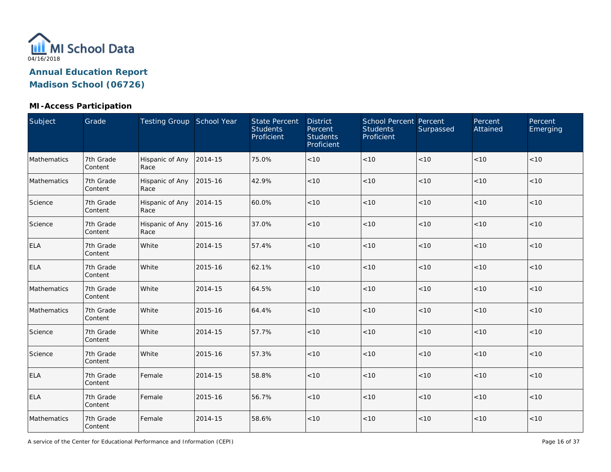

| Subject     | Grade                | Testing Group School Year |         | <b>State Percent</b><br><b>Students</b><br>Proficient | <b>District</b><br>Percent<br><b>Students</b><br>Proficient | <b>School Percent Percent</b><br><b>Students</b><br>Proficient | Surpassed | Percent<br>Attained | Percent<br>Emerging |
|-------------|----------------------|---------------------------|---------|-------------------------------------------------------|-------------------------------------------------------------|----------------------------------------------------------------|-----------|---------------------|---------------------|
| Mathematics | 7th Grade<br>Content | Hispanic of Any<br>Race   | 2014-15 | 75.0%                                                 | < 10                                                        | $<10$                                                          | < 10      | < 10                | < 10                |
| Mathematics | 7th Grade<br>Content | Hispanic of Any<br>Race   | 2015-16 | 42.9%                                                 | < 10                                                        | < 10                                                           | < 10      | < 10                | <10                 |
| Science     | 7th Grade<br>Content | Hispanic of Any<br>Race   | 2014-15 | 60.0%                                                 | < 10                                                        | < 10                                                           | $<10$     | < 10                | < 10                |
| Science     | 7th Grade<br>Content | Hispanic of Any<br>Race   | 2015-16 | 37.0%                                                 | < 10                                                        | < 10                                                           | < 10      | $<10$               | < 10                |
| <b>ELA</b>  | 7th Grade<br>Content | White                     | 2014-15 | 57.4%                                                 | < 10                                                        | < 10                                                           | < 10      | < 10                | < 10                |
| <b>ELA</b>  | 7th Grade<br>Content | White                     | 2015-16 | 62.1%                                                 | < 10                                                        | < 10                                                           | $<10$     | < 10                | < 10                |
| Mathematics | 7th Grade<br>Content | White                     | 2014-15 | 64.5%                                                 | < 10                                                        | $<10$                                                          | $<10$     | $<10$               | < 10                |
| Mathematics | 7th Grade<br>Content | White                     | 2015-16 | 64.4%                                                 | < 10                                                        | $<10$                                                          | $<10$     | < 10                | < 10                |
| Science     | 7th Grade<br>Content | White                     | 2014-15 | 57.7%                                                 | < 10                                                        | $<10$                                                          | $<10$     | < 10                | < 10                |
| Science     | 7th Grade<br>Content | White                     | 2015-16 | 57.3%                                                 | < 10                                                        | < 10                                                           | $<10$     | $<10$               | < 10                |
| <b>ELA</b>  | 7th Grade<br>Content | Female                    | 2014-15 | 58.8%                                                 | < 10                                                        | $<10$                                                          | $<10$     | < 10                | < 10                |
| <b>ELA</b>  | 7th Grade<br>Content | Female                    | 2015-16 | 56.7%                                                 | < 10                                                        | $<10$                                                          | < 10      | $<10$               | < 10                |
| Mathematics | 7th Grade<br>Content | Female                    | 2014-15 | 58.6%                                                 | < 10                                                        | < 10                                                           | $<10$     | $<10$               | $<10$               |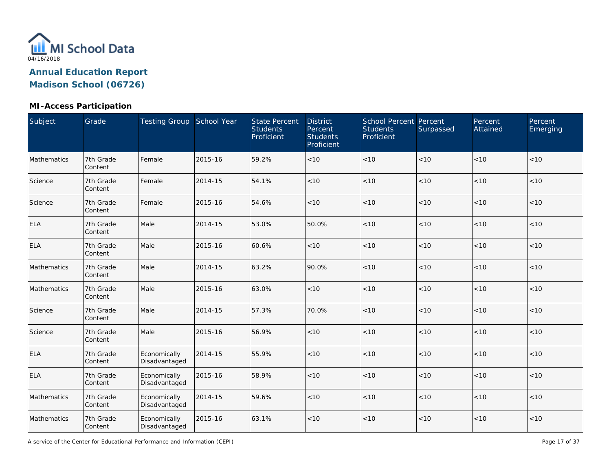

#### **MI-Access Participation**

| Subject     | Grade                | Testing Group School Year     |         | <b>State Percent</b><br><b>Students</b><br>Proficient | <b>District</b><br>Percent<br><b>Students</b><br>Proficient | <b>School Percent Percent</b><br><b>Students</b><br>Proficient | Surpassed | Percent<br>Attained | Percent<br>Emerging |
|-------------|----------------------|-------------------------------|---------|-------------------------------------------------------|-------------------------------------------------------------|----------------------------------------------------------------|-----------|---------------------|---------------------|
| Mathematics | 7th Grade<br>Content | Female                        | 2015-16 | 59.2%                                                 | < 10                                                        | $<10$                                                          | < 10      | < 10                | < 10                |
| Science     | 7th Grade<br>Content | Female                        | 2014-15 | 54.1%                                                 | < 10                                                        | < 10                                                           | $<10$     | < 10                | < 10                |
| Science     | 7th Grade<br>Content | Female                        | 2015-16 | 54.6%                                                 | < 10                                                        | < 10                                                           | $<10$     | < 10                | < 10                |
| <b>ELA</b>  | 7th Grade<br>Content | Male                          | 2014-15 | 53.0%                                                 | 50.0%                                                       | < 10                                                           | < 10      | $<10$               | < 10                |
| ELA         | 7th Grade<br>Content | Male                          | 2015-16 | 60.6%                                                 | < 10                                                        | < 10                                                           | < 10      | < 10                | < 10                |
| Mathematics | 7th Grade<br>Content | Male                          | 2014-15 | 63.2%                                                 | 90.0%                                                       | < 10                                                           | < 10      | < 10                | < 10                |
| Mathematics | 7th Grade<br>Content | Male                          | 2015-16 | 63.0%                                                 | < 10                                                        | < 10                                                           | < 10      | < 10                | < 10                |
| Science     | 7th Grade<br>Content | Male                          | 2014-15 | 57.3%                                                 | 70.0%                                                       | $<10$                                                          | < 10      | < 10                | < 10                |
| Science     | 7th Grade<br>Content | Male                          | 2015-16 | 56.9%                                                 | < 10                                                        | < 10                                                           | < 10      | < 10                | < 10                |
| <b>ELA</b>  | 7th Grade<br>Content | Economically<br>Disadvantaged | 2014-15 | 55.9%                                                 | < 10                                                        | $<10$                                                          | $<10$     | < 10                | < 10                |
| <b>ELA</b>  | 7th Grade<br>Content | Economically<br>Disadvantaged | 2015-16 | 58.9%                                                 | < 10                                                        | < 10                                                           | < 10      | < 10                | < 10                |
| Mathematics | 7th Grade<br>Content | Economically<br>Disadvantaged | 2014-15 | 59.6%                                                 | < 10                                                        | $<10$                                                          | $<10$     | < 10                | < 10                |
| Mathematics | 7th Grade<br>Content | Economically<br>Disadvantaged | 2015-16 | 63.1%                                                 | < 10                                                        | $<10$                                                          | $<10$     | $<10$               | < 10                |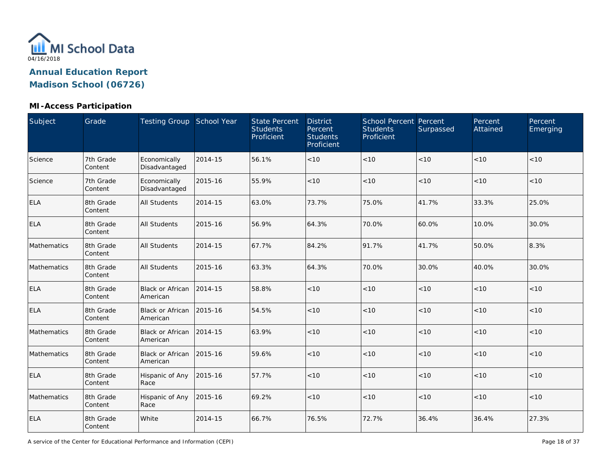

#### **MI-Access Participation**

| <b>Subject</b> | Grade                | Testing Group School Year           |         | <b>State Percent</b><br><b>Students</b><br>Proficient | <b>District</b><br>Percent<br><b>Students</b><br>Proficient | <b>School Percent Percent</b><br><b>Students</b><br>Proficient | Surpassed | Percent<br>Attained | Percent<br>Emerging |
|----------------|----------------------|-------------------------------------|---------|-------------------------------------------------------|-------------------------------------------------------------|----------------------------------------------------------------|-----------|---------------------|---------------------|
| Science        | 7th Grade<br>Content | Economically<br>Disadvantaged       | 2014-15 | 56.1%                                                 | < 10                                                        | $<10$                                                          | < 10      | < 10                | < 10                |
| Science        | 7th Grade<br>Content | Economically<br>Disadvantaged       | 2015-16 | 55.9%                                                 | < 10                                                        | < 10                                                           | < 10      | < 10                | <10                 |
| <b>ELA</b>     | 8th Grade<br>Content | <b>All Students</b>                 | 2014-15 | 63.0%                                                 | 73.7%                                                       | 75.0%                                                          | 41.7%     | 33.3%               | 25.0%               |
| <b>ELA</b>     | 8th Grade<br>Content | <b>All Students</b>                 | 2015-16 | 56.9%                                                 | 64.3%                                                       | 70.0%                                                          | 60.0%     | 10.0%               | 30.0%               |
| Mathematics    | 8th Grade<br>Content | <b>All Students</b>                 | 2014-15 | 67.7%                                                 | 84.2%                                                       | 91.7%                                                          | 41.7%     | 50.0%               | 8.3%                |
| Mathematics    | 8th Grade<br>Content | <b>All Students</b>                 | 2015-16 | 63.3%                                                 | 64.3%                                                       | 70.0%                                                          | 30.0%     | 40.0%               | 30.0%               |
| <b>ELA</b>     | 8th Grade<br>Content | <b>Black or African</b><br>American | 2014-15 | 58.8%                                                 | < 10                                                        | < 10                                                           | < 10      | < 10                | < 10                |
| <b>ELA</b>     | 8th Grade<br>Content | <b>Black or African</b><br>American | 2015-16 | 54.5%                                                 | $<10$                                                       | $<10$                                                          | $<10$     | $<10$               | < 10                |
| Mathematics    | 8th Grade<br>Content | <b>Black or African</b><br>American | 2014-15 | 63.9%                                                 | < 10                                                        | $<10$                                                          | < 10      | < 10                | <10                 |
| Mathematics    | 8th Grade<br>Content | <b>Black or African</b><br>American | 2015-16 | 59.6%                                                 | < 10                                                        | $<10$                                                          | < 10      | < 10                | < 10                |
| <b>ELA</b>     | 8th Grade<br>Content | Hispanic of Any<br>Race             | 2015-16 | 57.7%                                                 | < 10                                                        | < 10                                                           | < 10      | < 10                | < 10                |
| Mathematics    | 8th Grade<br>Content | Hispanic of Any<br>Race             | 2015-16 | 69.2%                                                 | < 10                                                        | $<10$                                                          | < 10      | < 10                | < 10                |
| <b>ELA</b>     | 8th Grade<br>Content | White                               | 2014-15 | 66.7%                                                 | 76.5%                                                       | 72.7%                                                          | 36.4%     | 36.4%               | 27.3%               |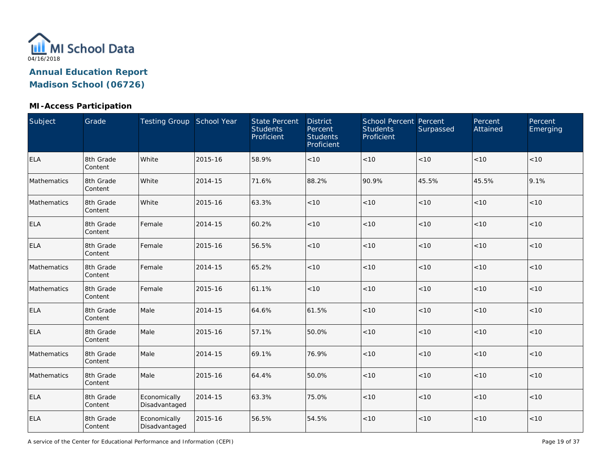

#### **MI-Access Participation**

| Subject     | Grade                | Testing Group School Year     |         | <b>State Percent</b><br><b>Students</b><br>Proficient | <b>District</b><br>Percent<br><b>Students</b><br>Proficient | <b>School Percent Percent</b><br><b>Students</b><br>Proficient | Surpassed | Percent<br>Attained | Percent<br>Emerging |
|-------------|----------------------|-------------------------------|---------|-------------------------------------------------------|-------------------------------------------------------------|----------------------------------------------------------------|-----------|---------------------|---------------------|
| <b>ELA</b>  | 8th Grade<br>Content | White                         | 2015-16 | 58.9%                                                 | < 10                                                        | < 10                                                           | < 10      | $<10$               | < 10                |
| Mathematics | 8th Grade<br>Content | White                         | 2014-15 | 71.6%                                                 | 88.2%                                                       | 90.9%                                                          | 45.5%     | 45.5%               | 9.1%                |
| Mathematics | 8th Grade<br>Content | White                         | 2015-16 | 63.3%                                                 | < 10                                                        | < 10                                                           | < 10      | < 10                | < 10                |
| <b>ELA</b>  | 8th Grade<br>Content | Female                        | 2014-15 | 60.2%                                                 | < 10                                                        | < 10                                                           | $<10$     | $<10$               | $<10$               |
| <b>ELA</b>  | 8th Grade<br>Content | Female                        | 2015-16 | 56.5%                                                 | < 10                                                        | < 10                                                           | < 10      | < 10                | < 10                |
| Mathematics | 8th Grade<br>Content | Female                        | 2014-15 | 65.2%                                                 | < 10                                                        | < 10                                                           | $<10$     | < 10                | $<10$               |
| Mathematics | 8th Grade<br>Content | Female                        | 2015-16 | 61.1%                                                 | < 10                                                        | $<10$                                                          | $<10$     | < 10                | < 10                |
| <b>ELA</b>  | 8th Grade<br>Content | Male                          | 2014-15 | 64.6%                                                 | 61.5%                                                       | $<10$                                                          | < 10      | $<10$               | < 10                |
| <b>ELA</b>  | 8th Grade<br>Content | Male                          | 2015-16 | 57.1%                                                 | 50.0%                                                       | $<10$                                                          | $<10$     | $<10$               | $<10$               |
| Mathematics | 8th Grade<br>Content | Male                          | 2014-15 | 69.1%                                                 | 76.9%                                                       | $<10$                                                          | $<10$     | $<10$               | < 10                |
| Mathematics | 8th Grade<br>Content | Male                          | 2015-16 | 64.4%                                                 | 50.0%                                                       | $<10$                                                          | $<10$     | $<10$               | $<10$               |
| <b>ELA</b>  | 8th Grade<br>Content | Economically<br>Disadvantaged | 2014-15 | 63.3%                                                 | 75.0%                                                       | $<10$                                                          | $<10$     | $<10$               | < 10                |
| <b>ELA</b>  | 8th Grade<br>Content | Economically<br>Disadvantaged | 2015-16 | 56.5%                                                 | 54.5%                                                       | < 10                                                           | $<10$     | $<10$               | $<10$               |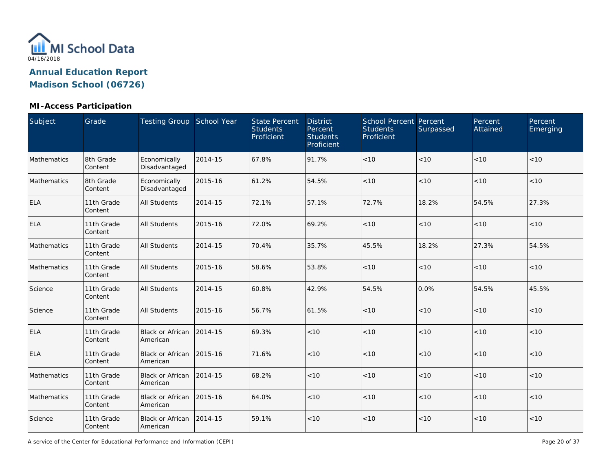

#### **MI-Access Participation**

| Subject     | Grade                 | Testing Group School Year            |         | <b>State Percent</b><br><b>Students</b><br>Proficient | <b>District</b><br>Percent<br><b>Students</b><br>Proficient | <b>School Percent Percent</b><br><b>Students</b><br>Proficient | Surpassed | Percent<br>Attained | Percent<br>Emerging |
|-------------|-----------------------|--------------------------------------|---------|-------------------------------------------------------|-------------------------------------------------------------|----------------------------------------------------------------|-----------|---------------------|---------------------|
| Mathematics | 8th Grade<br>Content  | Economically<br>Disadvantaged        | 2014-15 | 67.8%                                                 | 91.7%                                                       | $<10$                                                          | < 10      | < 10                | < 10                |
| Mathematics | 8th Grade<br>Content  | Economically<br>Disadvantaged        | 2015-16 | 61.2%                                                 | 54.5%                                                       | < 10                                                           | < 10      | < 10                | < 10                |
| <b>ELA</b>  | 11th Grade<br>Content | <b>All Students</b>                  | 2014-15 | 72.1%                                                 | 57.1%                                                       | 72.7%                                                          | 18.2%     | 54.5%               | 27.3%               |
| <b>ELA</b>  | 11th Grade<br>Content | <b>All Students</b>                  | 2015-16 | 72.0%                                                 | 69.2%                                                       | < 10                                                           | < 10      | < 10                | < 10                |
| Mathematics | 11th Grade<br>Content | All Students                         | 2014-15 | 70.4%                                                 | 35.7%                                                       | 45.5%                                                          | 18.2%     | 27.3%               | 54.5%               |
| Mathematics | 11th Grade<br>Content | All Students                         | 2015-16 | 58.6%                                                 | 53.8%                                                       | $<10$                                                          | < 10      | < 10                | < 10                |
| Science     | 11th Grade<br>Content | <b>All Students</b>                  | 2014-15 | 60.8%                                                 | 42.9%                                                       | 54.5%                                                          | 0.0%      | 54.5%               | 45.5%               |
| Science     | 11th Grade<br>Content | All Students                         | 2015-16 | 56.7%                                                 | 61.5%                                                       | < 10                                                           | < 10      | < 10                | < 10                |
| <b>ELA</b>  | 11th Grade<br>Content | <b>Black or African</b><br>American  | 2014-15 | 69.3%                                                 | < 10                                                        | $<10$                                                          | < 10      | < 10                | < 10                |
| <b>ELA</b>  | 11th Grade<br>Content | Black or African<br>American         | 2015-16 | 71.6%                                                 | < 10                                                        | $<10$                                                          | < 10      | < 10                | < 10                |
| Mathematics | 11th Grade<br>Content | <b>Black or African</b><br>American  | 2014-15 | 68.2%                                                 | < 10                                                        | < 10                                                           | < 10      | < 10                | < 10                |
| Mathematics | 11th Grade<br>Content | Black or African 2015-16<br>American |         | 64.0%                                                 | < 10                                                        | < 10                                                           | < 10      | < 10                | < 10                |
| Science     | 11th Grade<br>Content | Black or African<br>American         | 2014-15 | 59.1%                                                 | $<10$                                                       | < 10                                                           | < 10      | < 10                | < 10                |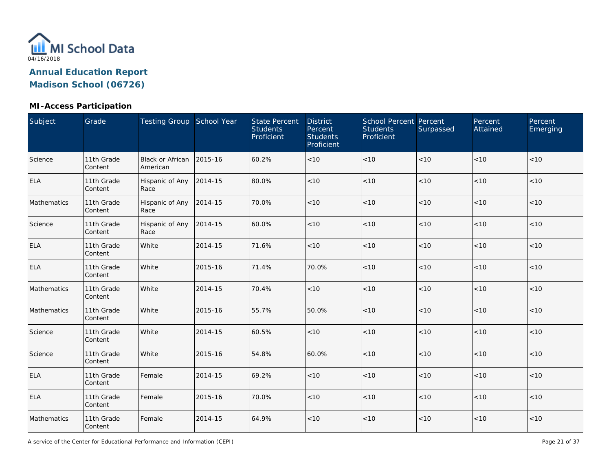

#### **MI-Access Participation**

| Subject     | Grade                 | Testing Group School Year           |         | <b>State Percent</b><br><b>Students</b><br>Proficient | <b>District</b><br>Percent<br><b>Students</b><br>Proficient | School Percent Percent<br><b>Students</b><br>Proficient | Surpassed | Percent<br>Attained | Percent<br>Emerging |
|-------------|-----------------------|-------------------------------------|---------|-------------------------------------------------------|-------------------------------------------------------------|---------------------------------------------------------|-----------|---------------------|---------------------|
| Science     | 11th Grade<br>Content | <b>Black or African</b><br>American | 2015-16 | 60.2%                                                 | < 10                                                        | $<10$                                                   | $<10$     | < 10                | < 10                |
| <b>ELA</b>  | 11th Grade<br>Content | Hispanic of Any<br>Race             | 2014-15 | 80.0%                                                 | < 10                                                        | < 10                                                    | < 10      | < 10                | < 10                |
| Mathematics | 11th Grade<br>Content | Hispanic of Any<br>Race             | 2014-15 | 70.0%                                                 | < 10                                                        | $<10$                                                   | $<10$     | < 10                | < 10                |
| Science     | 11th Grade<br>Content | Hispanic of Any<br>Race             | 2014-15 | 60.0%                                                 | < 10                                                        | < 10                                                    | $<10$     | < 10                | < 10                |
| <b>ELA</b>  | 11th Grade<br>Content | White                               | 2014-15 | 71.6%                                                 | < 10                                                        | $<10$                                                   | $<10$     | < 10                | < 10                |
| <b>ELA</b>  | 11th Grade<br>Content | White                               | 2015-16 | 71.4%                                                 | 70.0%                                                       | < 10                                                    | < 10      | < 10                | < 10                |
| Mathematics | 11th Grade<br>Content | White                               | 2014-15 | 70.4%                                                 | < 10                                                        | $<10$                                                   | < 10      | < 10                | < 10                |
| Mathematics | 11th Grade<br>Content | White                               | 2015-16 | 55.7%                                                 | 50.0%                                                       | $<10$                                                   | $<10$     | $<10$               | < 10                |
| Science     | 11th Grade<br>Content | White                               | 2014-15 | 60.5%                                                 | < 10                                                        | $<10$                                                   | $<10$     | $<10$               | < 10                |
| Science     | 11th Grade<br>Content | White                               | 2015-16 | 54.8%                                                 | 60.0%                                                       | < 10                                                    | < 10      | < 10                | < 10                |
| <b>ELA</b>  | 11th Grade<br>Content | Female                              | 2014-15 | 69.2%                                                 | < 10                                                        | $<10$                                                   | $<10$     | $<10$               | < 10                |
| <b>ELA</b>  | 11th Grade<br>Content | Female                              | 2015-16 | 70.0%                                                 | < 10                                                        | < 10                                                    | $<10$     | $<10$               | < 10                |
| Mathematics | 11th Grade<br>Content | Female                              | 2014-15 | 64.9%                                                 | < 10                                                        | $<10$                                                   | $<10$     | $<10$               | < 10                |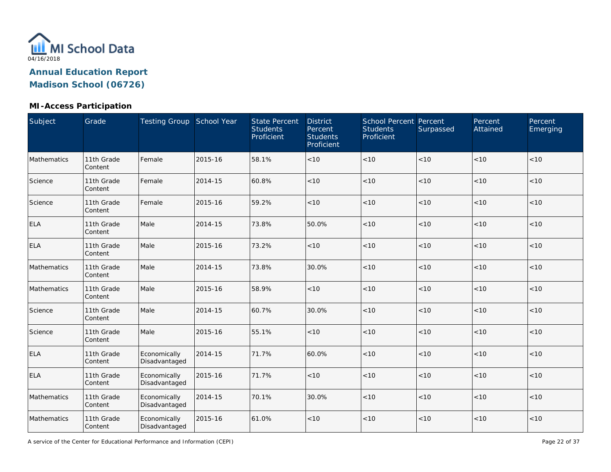

#### **MI-Access Participation**

| Subject     | Grade                 | Testing Group School Year     |         | <b>State Percent</b><br><b>Students</b><br>Proficient | <b>District</b><br>Percent<br><b>Students</b><br>Proficient | <b>School Percent Percent</b><br><b>Students</b><br>Proficient | Surpassed | Percent<br>Attained | Percent<br>Emerging |
|-------------|-----------------------|-------------------------------|---------|-------------------------------------------------------|-------------------------------------------------------------|----------------------------------------------------------------|-----------|---------------------|---------------------|
| Mathematics | 11th Grade<br>Content | Female                        | 2015-16 | 58.1%                                                 | < 10                                                        | $<10$                                                          | < 10      | < 10                | < 10                |
| Science     | 11th Grade<br>Content | Female                        | 2014-15 | 60.8%                                                 | < 10                                                        | < 10                                                           | $<10$     | < 10                | < 10                |
| Science     | 11th Grade<br>Content | Female                        | 2015-16 | 59.2%                                                 | < 10                                                        | < 10                                                           | $<10$     | < 10                | < 10                |
| <b>ELA</b>  | 11th Grade<br>Content | Male                          | 2014-15 | 73.8%                                                 | 50.0%                                                       | $<10$                                                          | < 10      | $<10$               | < 10                |
| ELA         | 11th Grade<br>Content | Male                          | 2015-16 | 73.2%                                                 | < 10                                                        | < 10                                                           | < 10      | < 10                | < 10                |
| Mathematics | 11th Grade<br>Content | Male                          | 2014-15 | 73.8%                                                 | 30.0%                                                       | < 10                                                           | < 10      | < 10                | < 10                |
| Mathematics | 11th Grade<br>Content | Male                          | 2015-16 | 58.9%                                                 | < 10                                                        | < 10                                                           | < 10      | < 10                | < 10                |
| Science     | 11th Grade<br>Content | Male                          | 2014-15 | 60.7%                                                 | 30.0%                                                       | $<10$                                                          | < 10      | < 10                | < 10                |
| Science     | 11th Grade<br>Content | Male                          | 2015-16 | 55.1%                                                 | < 10                                                        | < 10                                                           | < 10      | < 10                | < 10                |
| <b>ELA</b>  | 11th Grade<br>Content | Economically<br>Disadvantaged | 2014-15 | 71.7%                                                 | 60.0%                                                       | $<10$                                                          | < 10      | < 10                | < 10                |
| <b>ELA</b>  | 11th Grade<br>Content | Economically<br>Disadvantaged | 2015-16 | 71.7%                                                 | < 10                                                        | < 10                                                           | < 10      | < 10                | < 10                |
| Mathematics | 11th Grade<br>Content | Economically<br>Disadvantaged | 2014-15 | 70.1%                                                 | 30.0%                                                       | $<10$                                                          | $<10$     | < 10                | < 10                |
| Mathematics | 11th Grade<br>Content | Economically<br>Disadvantaged | 2015-16 | 61.0%                                                 | < 10                                                        | $<10$                                                          | $<10$     | $<10$               | < 10                |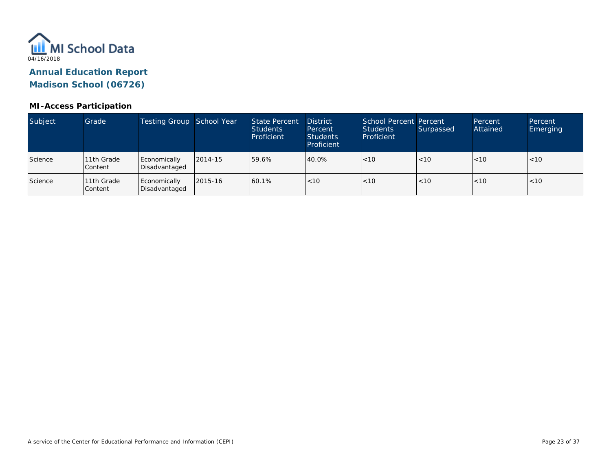

| Subject | Grade                 | Testing Group School Year     |         | <b>State Percent</b><br><b>Students</b><br>Proficient | <b>District</b><br>Percent<br><b>Students</b><br>Proficient | School Percent Percent<br>Students<br>Proficient | Surpassed | Percent<br>Attained | Percent<br><b>Emerging</b> |
|---------|-----------------------|-------------------------------|---------|-------------------------------------------------------|-------------------------------------------------------------|--------------------------------------------------|-----------|---------------------|----------------------------|
| Science | 11th Grade<br>Content | Economically<br>Disadvantaged | 2014-15 | 59.6%                                                 | 40.0%                                                       | < 10                                             | < 10      | < 10                | < 10                       |
| Science | 11th Grade<br>Content | Economically<br>Disadvantaged | 2015-16 | 60.1%                                                 | < 10                                                        | < 10                                             | < 10      | < 10                | < 10                       |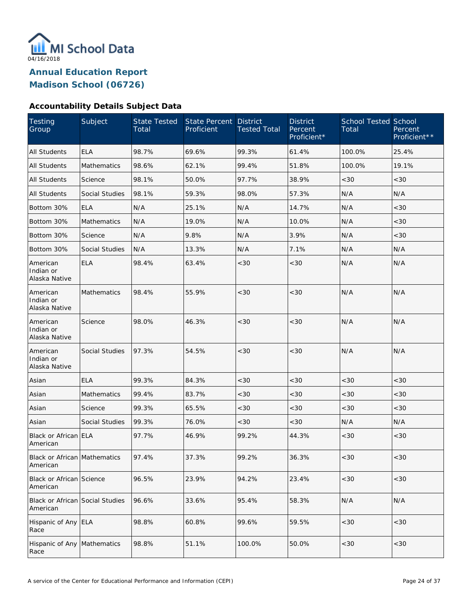

#### **Accountability Details Subject Data**

| Testing<br>Group                            | Subject               | <b>State Tested</b><br>Total | <b>State Percent</b><br>Proficient | <b>District</b><br><b>Tested Total</b> | <b>District</b><br>Percent<br>Proficient* | <b>School Tested School</b><br>Total | Percent<br>Proficient** |
|---------------------------------------------|-----------------------|------------------------------|------------------------------------|----------------------------------------|-------------------------------------------|--------------------------------------|-------------------------|
| <b>All Students</b>                         | <b>ELA</b>            | 98.7%                        | 69.6%                              | 99.3%                                  | 61.4%                                     | 100.0%                               | 25.4%                   |
| <b>All Students</b>                         | <b>Mathematics</b>    | 98.6%                        | 62.1%                              | 99.4%                                  | 51.8%                                     | 100.0%                               | 19.1%                   |
| <b>All Students</b>                         | Science               | 98.1%                        | 50.0%                              | 97.7%                                  | 38.9%                                     | <30                                  | <30                     |
| <b>All Students</b>                         | Social Studies        | 98.1%                        | 59.3%                              | 98.0%                                  | 57.3%                                     | N/A                                  | N/A                     |
| Bottom 30%                                  | <b>ELA</b>            | N/A                          | 25.1%                              | N/A                                    | 14.7%                                     | N/A                                  | <30                     |
| Bottom 30%                                  | Mathematics           | N/A                          | 19.0%                              | N/A                                    | 10.0%                                     | N/A                                  | < 30                    |
| Bottom 30%                                  | Science               | N/A                          | 9.8%                               | N/A                                    | 3.9%                                      | N/A                                  | < 30                    |
| Bottom 30%                                  | Social Studies        | N/A                          | 13.3%                              | N/A                                    | 7.1%                                      | N/A                                  | N/A                     |
| American<br>Indian or<br>Alaska Native      | <b>ELA</b>            | 98.4%                        | 63.4%                              | <30                                    | <30                                       | N/A                                  | N/A                     |
| American<br>Indian or<br>Alaska Native      | Mathematics           | 98.4%                        | 55.9%                              | <30                                    | <30                                       | N/A                                  | N/A                     |
| American<br>Indian or<br>Alaska Native      | Science               | 98.0%                        | 46.3%                              | <30                                    | <30                                       | N/A                                  | N/A                     |
| American<br>Indian or<br>Alaska Native      | <b>Social Studies</b> | 97.3%                        | 54.5%                              | <30                                    | <30                                       | N/A                                  | N/A                     |
| Asian                                       | <b>ELA</b>            | 99.3%                        | 84.3%                              | <30                                    | <30                                       | <30                                  | <30                     |
| Asian                                       | Mathematics           | 99.4%                        | 83.7%                              | <30                                    | <30                                       | <30                                  | <30                     |
| Asian                                       | Science               | 99.3%                        | 65.5%                              | $<30$                                  | <30                                       | <30                                  | <30                     |
| Asian                                       | Social Studies        | 99.3%                        | 76.0%                              | <30                                    | <30                                       | N/A                                  | N/A                     |
| Black or African ELA<br>American            |                       | 97.7%                        | 46.9%                              | 99.2%                                  | 44.3%                                     | <30                                  | <30                     |
| Black or African Mathematics<br>American    |                       | 97.4%                        | 37.3%                              | 99.2%                                  | 36.3%                                     | $<30$                                | $<30$                   |
| Black or African Science<br>American        |                       | 96.5%                        | 23.9%                              | 94.2%                                  | 23.4%                                     | <30                                  | <30                     |
| Black or African Social Studies<br>American |                       | 96.6%                        | 33.6%                              | 95.4%                                  | 58.3%                                     | N/A                                  | N/A                     |
| Hispanic of Any ELA<br>Race                 |                       | 98.8%                        | 60.8%                              | 99.6%                                  | 59.5%                                     | <30                                  | <30                     |
| Hispanic of Any Mathematics<br>Race         |                       | 98.8%                        | 51.1%                              | 100.0%                                 | 50.0%                                     | <30                                  | <30                     |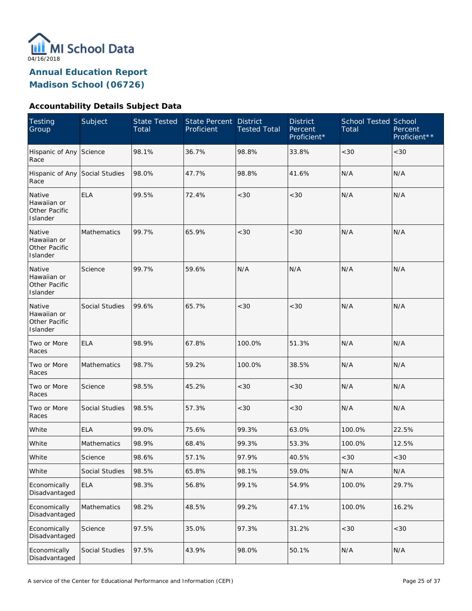

**Annual Education Report** 

**Madison School (06726)** 

#### **Accountability Details Subject Data**

| <b>Testing</b><br>Group                            | Subject               | <b>State Tested</b><br>Total | <b>State Percent</b><br>Proficient | <b>District</b><br><b>Tested Total</b> | <b>District</b><br>Percent<br>Proficient* | <b>School Tested School</b><br>Total | Percent<br>Proficient** |
|----------------------------------------------------|-----------------------|------------------------------|------------------------------------|----------------------------------------|-------------------------------------------|--------------------------------------|-------------------------|
| Hispanic of Any<br>Race                            | Science               | 98.1%                        | 36.7%                              | 98.8%                                  | 33.8%                                     | <30                                  | <30                     |
| Hispanic of Any Social Studies<br>Race             |                       | 98.0%                        | 47.7%                              | 98.8%                                  | 41.6%                                     | N/A                                  | N/A                     |
| Native<br>Hawaiian or<br>Other Pacific<br>Islander | <b>ELA</b>            | 99.5%                        | 72.4%                              | <30                                    | <30                                       | N/A                                  | N/A                     |
| Native<br>Hawaiian or<br>Other Pacific<br>Islander | <b>Mathematics</b>    | 99.7%                        | 65.9%                              | <30                                    | <30                                       | N/A                                  | N/A                     |
| Native<br>Hawaiian or<br>Other Pacific<br>Islander | Science               | 99.7%                        | 59.6%                              | N/A                                    | N/A                                       | N/A                                  | N/A                     |
| Native<br>Hawaiian or<br>Other Pacific<br>Islander | <b>Social Studies</b> | 99.6%                        | 65.7%                              | <30                                    | <30                                       | N/A                                  | N/A                     |
| Two or More<br>Races                               | <b>ELA</b>            | 98.9%                        | 67.8%                              | 100.0%                                 | 51.3%                                     | N/A                                  | N/A                     |
| Two or More<br>Races                               | Mathematics           | 98.7%                        | 59.2%                              | 100.0%                                 | 38.5%                                     | N/A                                  | N/A                     |
| Two or More<br>Races                               | Science               | 98.5%                        | 45.2%                              | <30                                    | <30                                       | N/A                                  | N/A                     |
| Two or More<br>Races                               | Social Studies        | 98.5%                        | 57.3%                              | <30                                    | <30                                       | N/A                                  | N/A                     |
| White                                              | <b>ELA</b>            | 99.0%                        | 75.6%                              | 99.3%                                  | 63.0%                                     | 100.0%                               | 22.5%                   |
| White                                              | Mathematics           | 98.9%                        | 68.4%                              | 99.3%                                  | 53.3%                                     | 100.0%                               | 12.5%                   |
| White                                              | Science               | 98.6%                        | 57.1%                              | 97.9%                                  | 40.5%                                     | <30                                  | <30                     |
| White                                              | Social Studies        | 98.5%                        | 65.8%                              | 98.1%                                  | 59.0%                                     | N/A                                  | N/A                     |
| Economically<br>Disadvantaged                      | <b>ELA</b>            | 98.3%                        | 56.8%                              | 99.1%                                  | 54.9%                                     | 100.0%                               | 29.7%                   |
| Economically<br>Disadvantaged                      | Mathematics           | 98.2%                        | 48.5%                              | 99.2%                                  | 47.1%                                     | 100.0%                               | 16.2%                   |
| Economically<br>Disadvantaged                      | Science               | 97.5%                        | 35.0%                              | 97.3%                                  | 31.2%                                     | <30                                  | <30                     |
| Economically<br>Disadvantaged                      | Social Studies        | 97.5%                        | 43.9%                              | 98.0%                                  | 50.1%                                     | N/A                                  | N/A                     |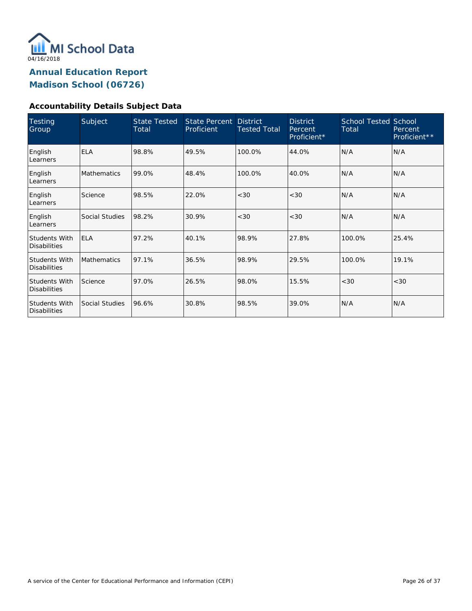

#### **Accountability Details Subject Data**

| <b>Testing</b><br>Group                     | Subject            | <b>State Tested</b><br>Total | <b>State Percent</b><br>Proficient | <b>District</b><br><b>Tested Total</b> | <b>District</b><br>Percent<br>Proficient* | <b>School Tested School</b><br>Total | Percent<br>Proficient** |
|---------------------------------------------|--------------------|------------------------------|------------------------------------|----------------------------------------|-------------------------------------------|--------------------------------------|-------------------------|
| English<br>Learners                         | <b>ELA</b>         | 98.8%                        | 49.5%                              | 100.0%                                 | 44.0%                                     | N/A                                  | N/A                     |
| English<br>Learners                         | <b>Mathematics</b> | 99.0%                        | 48.4%                              | 100.0%                                 | 40.0%                                     | N/A                                  | N/A                     |
| English<br>Learners                         | Science            | 98.5%                        | 22.0%                              | <30                                    | < 30                                      | N/A                                  | N/A                     |
| English<br>Learners                         | Social Studies     | 98.2%                        | 30.9%                              | <30                                    | < 30                                      | N/A                                  | N/A                     |
| <b>Students With</b><br><b>Disabilities</b> | <b>ELA</b>         | 97.2%                        | 40.1%                              | 98.9%                                  | 27.8%                                     | 100.0%                               | 25.4%                   |
| Students With<br><b>Disabilities</b>        | <b>Mathematics</b> | 97.1%                        | 36.5%                              | 98.9%                                  | 29.5%                                     | 100.0%                               | 19.1%                   |
| Students With<br><b>Disabilities</b>        | Science            | 97.0%                        | 26.5%                              | 98.0%                                  | 15.5%                                     | <30                                  | < 30                    |
| <b>Students With</b><br><b>Disabilities</b> | Social Studies     | 96.6%                        | 30.8%                              | 98.5%                                  | 39.0%                                     | N/A                                  | N/A                     |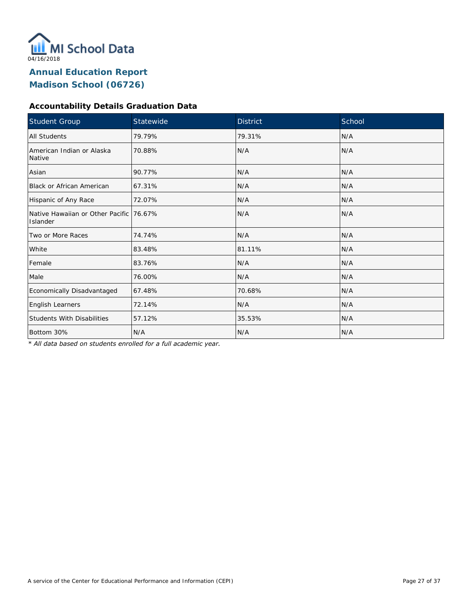

#### **Accountability Details Graduation Data**

| <b>Student Group</b>                                | Statewide | <b>District</b> | School |
|-----------------------------------------------------|-----------|-----------------|--------|
| <b>All Students</b>                                 | 79.79%    | 79.31%          | N/A    |
| American Indian or Alaska<br>Native                 | 70.88%    | N/A             | N/A    |
| Asian                                               | 90.77%    | N/A             | N/A    |
| Black or African American                           | 67.31%    | N/A             | N/A    |
| Hispanic of Any Race                                | 72.07%    | N/A             | N/A    |
| Native Hawaiian or Other Pacific 76.67%<br>Islander |           | N/A             | N/A    |
| Two or More Races                                   | 74.74%    | N/A             | N/A    |
| White                                               | 83.48%    | 81.11%          | N/A    |
| Female                                              | 83.76%    | N/A             | N/A    |
| Male                                                | 76.00%    | N/A             | N/A    |
| Economically Disadvantaged                          | 67.48%    | 70.68%          | N/A    |
| English Learners                                    | 72.14%    | N/A             | N/A    |
| <b>Students With Disabilities</b>                   | 57.12%    | 35.53%          | N/A    |
| Bottom 30%                                          | N/A       | N/A             | N/A    |

*\* All data based on students enrolled for a full academic year.*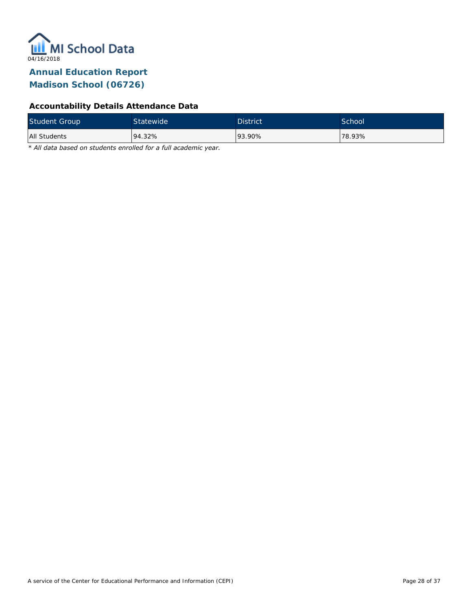

#### **Accountability Details Attendance Data**

| <b>Student Group</b> | Statewide | <b>District</b> | <b>School</b> |
|----------------------|-----------|-----------------|---------------|
| All Students         | 94.32%    | 93.90%          | 78.93%        |

*\* All data based on students enrolled for a full academic year.*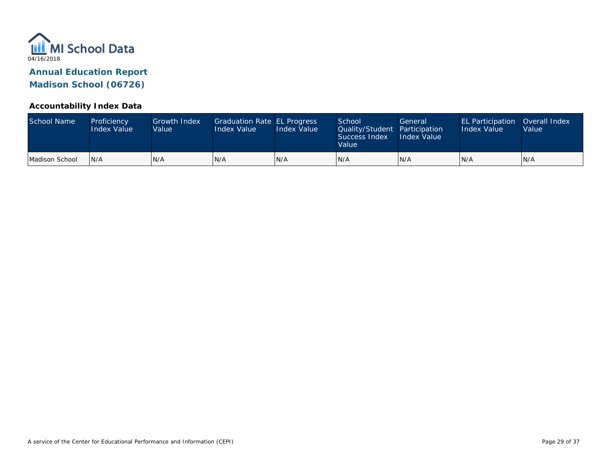

#### **Accountability Index Data**

| School Name    | Proficiency<br><b>Index Value</b> | <b>Growth Index</b><br>Value | Graduation Rate EL Progress<br>Index Value | Index Value | School<br>Quality/Student Participation<br>Success Index<br>Value | General<br><b>Index Value</b> | <b>EL Participation</b><br><b>Index Value</b> | Overall Index<br>Value |
|----------------|-----------------------------------|------------------------------|--------------------------------------------|-------------|-------------------------------------------------------------------|-------------------------------|-----------------------------------------------|------------------------|
| Madison School | IN/A                              | N/A                          | N/A                                        | IN/A        | IN/A                                                              | N/A                           | IN/A                                          | N/A                    |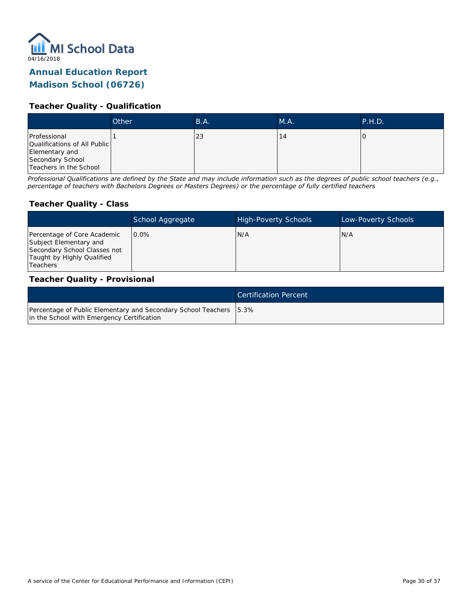

### **Annual Education Report**

#### **Madison School (06726)**

#### **Teacher Quality - Qualification**

|                                                                                                              | Other | B.A. | M.A. | P.H.D. |
|--------------------------------------------------------------------------------------------------------------|-------|------|------|--------|
| Professional<br>Qualifications of All Public<br>Elementary and<br>Secondary School<br>Teachers in the School |       | 23   | 4 ا  |        |

*Professional Qualifications are defined by the State and may include information such as the degrees of public school teachers (e.g., percentage of teachers with Bachelors Degrees or Masters Degrees) or the percentage of fully certified teachers*

#### **Teacher Quality - Class**

|                                                                                                                                   | School Aggregate | <b>High-Poverty Schools</b> | Low-Poverty Schools |
|-----------------------------------------------------------------------------------------------------------------------------------|------------------|-----------------------------|---------------------|
| Percentage of Core Academic<br>Subject Elementary and<br>Secondary School Classes not<br>Taught by Highly Qualified<br>l Teachers | 0.0%             | N/A                         | N/A                 |

#### **Teacher Quality - Provisional**

|                                                                                                                    | <b>Certification Percent</b> |
|--------------------------------------------------------------------------------------------------------------------|------------------------------|
| Percentage of Public Elementary and Secondary School Teachers   5.3%<br>in the School with Emergency Certification |                              |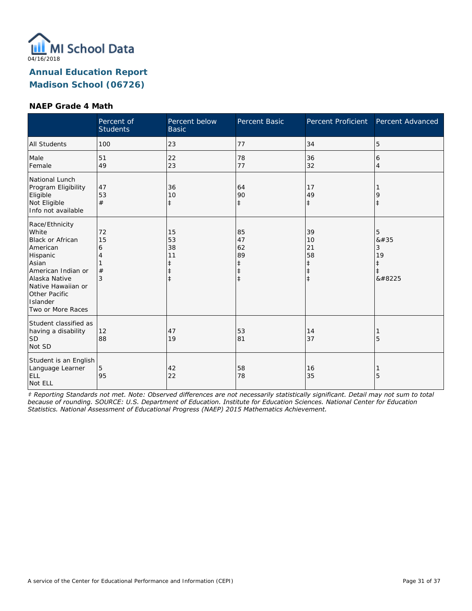

#### **NAEP Grade 4 Math**

|                                                                                                                                                                                                    | Percent of<br><b>Students</b> | Percent below<br><b>Basic</b> | Percent Basic                                                  | Percent Proficient                                             | Percent Advanced                                      |
|----------------------------------------------------------------------------------------------------------------------------------------------------------------------------------------------------|-------------------------------|-------------------------------|----------------------------------------------------------------|----------------------------------------------------------------|-------------------------------------------------------|
| <b>All Students</b>                                                                                                                                                                                | 100                           | 23                            | 77                                                             | 34                                                             | 5                                                     |
| Male<br>Female                                                                                                                                                                                     | 51<br>49                      | 22<br>23                      | 78<br>77                                                       | 36<br>32                                                       | 6<br>$\overline{4}$                                   |
| National Lunch<br>Program Eligibility<br>Eligible<br>Not Eligible<br>Info not available                                                                                                            | 47<br>53<br>#                 | 36<br>10<br>$\ddagger$        | 64<br>90<br>$\ddagger$                                         | 17<br>49<br>$\ddagger$                                         | 9<br>$\ddagger$                                       |
| Race/Ethnicity<br>White<br><b>Black or African</b><br>American<br>Hispanic<br>Asian<br>American Indian or<br>Alaska Native<br>Native Hawaiian or<br>Other Pacific<br>Islander<br>Two or More Races | 72<br>15<br>6<br>#<br>3       | 15<br>53<br>38<br>11          | 85<br>47<br>62<br>89<br>$\ddagger$<br>$\ddagger$<br>$\ddagger$ | 39<br>10<br>21<br>58<br>$\ddagger$<br>$\ddagger$<br>$\ddagger$ | 5<br>8#35<br>3<br>19<br>$\ddagger$<br>$\ddagger$<br>‡ |
| Student classified as<br>having a disability<br><b>SD</b><br>Not SD                                                                                                                                | 12<br>88                      | 47<br>19                      | 53<br>81                                                       | 14<br>37                                                       | 5                                                     |
| Student is an English<br>Language Learner<br><b>ELL</b><br>Not ELL                                                                                                                                 | 5<br>95                       | 42<br>22                      | 58<br>78                                                       | 16<br>35                                                       | 5                                                     |

*‡ Reporting Standards not met. Note: Observed differences are not necessarily statistically significant. Detail may not sum to total because of rounding. SOURCE: U.S. Department of Education. Institute for Education Sciences. National Center for Education Statistics. National Assessment of Educational Progress (NAEP) 2015 Mathematics Achievement.*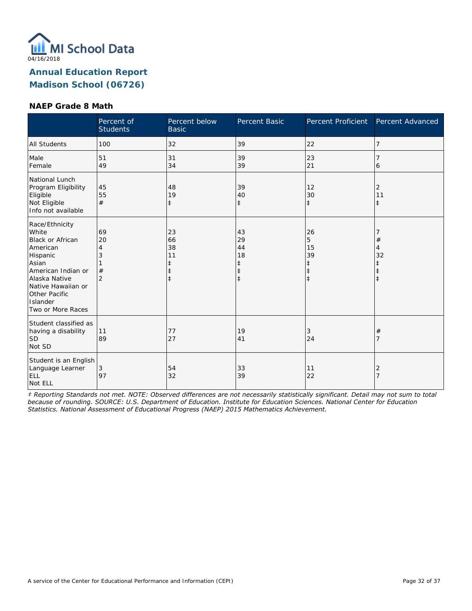

#### **NAEP Grade 8 Math**

|                                                                                                                                                                                                    | Percent of<br><b>Students</b> | Percent below<br><b>Basic</b>                         | Percent Basic                                         | Percent Proficient                                            | Percent Advanced             |
|----------------------------------------------------------------------------------------------------------------------------------------------------------------------------------------------------|-------------------------------|-------------------------------------------------------|-------------------------------------------------------|---------------------------------------------------------------|------------------------------|
| <b>All Students</b>                                                                                                                                                                                | 100                           | 32                                                    | 39                                                    | 22                                                            | 7                            |
| Male<br>Female                                                                                                                                                                                     | 51<br>49                      | 31<br>34                                              | 39<br>39                                              | 23<br>21                                                      | 6                            |
| National Lunch<br>Program Eligibility<br>Eligible<br>Not Eligible<br>Info not available                                                                                                            | 45<br>55<br>#                 | 48<br>19<br>$\ddagger$                                | 39<br>40<br>$\ddagger$                                | 12<br>30<br>$\ddagger$                                        | 2<br>11<br>$\ddagger$        |
| Race/Ethnicity<br>White<br><b>Black or African</b><br>American<br>Hispanic<br>Asian<br>American Indian or<br>Alaska Native<br>Native Hawaiian or<br>Other Pacific<br>Islander<br>Two or More Races | 69<br>20<br>4<br>#            | 23<br>66<br>38<br>11<br>$\ddagger$<br>ŧ<br>$\ddagger$ | 43<br>29<br>44<br>18<br>ŧ<br>$\ddagger$<br>$\ddagger$ | 26<br>5<br>15<br>39<br>$\ddagger$<br>$\ddagger$<br>$\ddagger$ | $\#$<br>$\overline{4}$<br>32 |
| Student classified as<br>having a disability<br><b>SD</b><br>Not SD                                                                                                                                | 11<br>89                      | 77<br>27                                              | 19<br>41                                              | 3<br>24                                                       | $^{\#}$<br>7                 |
| Student is an English<br>Language Learner<br><b>ELL</b><br>Not ELL                                                                                                                                 | 3<br>97                       | 54<br>32                                              | 33<br>39                                              | 11<br>22                                                      | 2<br>$\overline{7}$          |

*‡ Reporting Standards not met. NOTE: Observed differences are not necessarily statistically significant. Detail may not sum to total because of rounding. SOURCE: U.S. Department of Education. Institute for Education Sciences. National Center for Education Statistics. National Assessment of Educational Progress (NAEP) 2015 Mathematics Achievement.*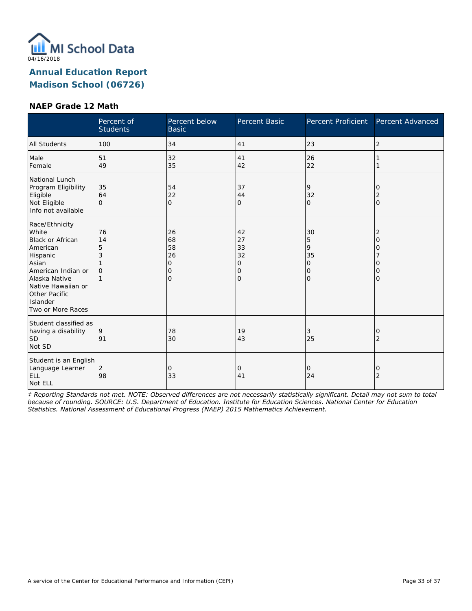

#### **NAEP Grade 12 Math**

|                                                                                                                                                                                                    | Percent of<br><b>Students</b> | Percent below<br><b>Basic</b>                             | Percent Basic                       | Percent Proficient                                                  | Percent Advanced                                                         |
|----------------------------------------------------------------------------------------------------------------------------------------------------------------------------------------------------|-------------------------------|-----------------------------------------------------------|-------------------------------------|---------------------------------------------------------------------|--------------------------------------------------------------------------|
| <b>All Students</b>                                                                                                                                                                                | 100                           | 34                                                        | 41                                  | 23                                                                  | 2                                                                        |
| Male<br>Female                                                                                                                                                                                     | 51<br>49                      | 32<br>35                                                  | 41<br>42                            | 26<br>22                                                            |                                                                          |
| National Lunch<br>Program Eligibility<br>Eligible<br>Not Eligible<br>Info not available                                                                                                            | 35<br>64<br>$\Omega$          | 54<br>22<br>$\mathbf{O}$                                  | 37<br>44<br>0                       | 9<br>32<br>$\Omega$                                                 | 0<br>2<br>$\overline{O}$                                                 |
| Race/Ethnicity<br>White<br><b>Black or African</b><br>American<br>Hispanic<br>Asian<br>American Indian or<br>Alaska Native<br>Native Hawaiian or<br>Other Pacific<br>Islander<br>Two or More Races | 76<br>14<br>5<br>$\Omega$     | 26<br>68<br>58<br>26<br>$\mathbf{O}$<br>0<br>$\mathbf{O}$ | 42<br>27<br>33<br>32<br>0<br>0<br>0 | 30<br>5<br>9<br>35<br>$\mathbf{O}$<br>$\mathbf 0$<br>$\overline{O}$ | $\overline{2}$<br>$\overline{O}$<br>0<br>$\Omega$<br>0<br>$\overline{O}$ |
| Student classified as<br>having a disability<br><b>SD</b><br>Not SD                                                                                                                                | 9<br>91                       | 78<br>30                                                  | 19<br>43                            | 3<br>25                                                             | 0<br>$\overline{2}$                                                      |
| Student is an English<br>Language Learner<br><b>ELL</b><br>Not ELL                                                                                                                                 | 2<br>98                       | 0<br>33                                                   | 0<br>41                             | 0<br>24                                                             | 0<br>$\overline{2}$                                                      |

*‡ Reporting Standards not met. NOTE: Observed differences are not necessarily statistically significant. Detail may not sum to total because of rounding. SOURCE: U.S. Department of Education. Institute for Education Sciences. National Center for Education Statistics. National Assessment of Educational Progress (NAEP) 2015 Mathematics Achievement.*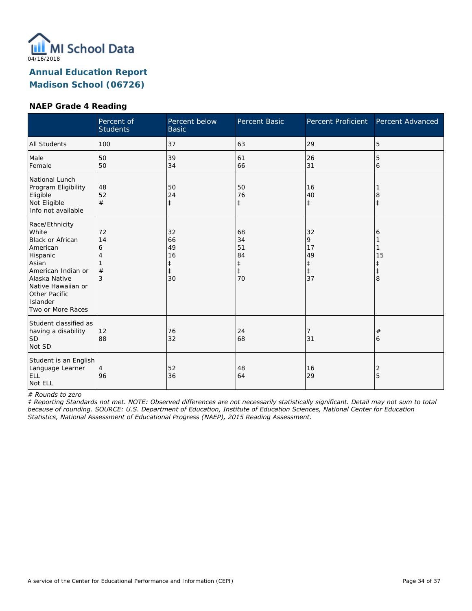

#### **NAEP Grade 4 Reading**

|                                                                                                                                                                                                    | Percent of<br><b>Students</b> | Percent below<br><b>Basic</b>                 | Percent Basic                                          | Percent Proficient                           | Percent Advanced                |
|----------------------------------------------------------------------------------------------------------------------------------------------------------------------------------------------------|-------------------------------|-----------------------------------------------|--------------------------------------------------------|----------------------------------------------|---------------------------------|
| <b>All Students</b>                                                                                                                                                                                | 100                           | 37                                            | 63                                                     | 29                                           | 5                               |
| Male<br>Female                                                                                                                                                                                     | 50<br>50                      | 39<br>34                                      | 61<br>66                                               | 26<br>31                                     | 5<br>6                          |
| National Lunch<br>Program Eligibility<br>Eligible<br>Not Eligible<br>Info not available                                                                                                            | 48<br>52<br>#                 | 50<br>24<br>$\ddagger$                        | 50<br>76<br>$\ddagger$                                 | 16<br>40<br>$\ddagger$                       | 8<br>$\ddagger$                 |
| Race/Ethnicity<br>White<br><b>Black or African</b><br>American<br>Hispanic<br>Asian<br>American Indian or<br>Alaska Native<br>Native Hawaiian or<br>Other Pacific<br>Islander<br>Two or More Races | 72<br>14<br>6<br>#<br>3       | 32<br>66<br>49<br>16<br>ŧ<br>$\ddagger$<br>30 | 68<br>34<br>51<br>84<br>$\ddagger$<br>$\ddagger$<br>70 | 32<br>9<br>17<br>49<br>‡<br>$\ddagger$<br>37 | 6<br>15<br>ŧ<br>$\ddagger$<br>8 |
| Student classified as<br>having a disability<br><b>SD</b><br>Not SD                                                                                                                                | 12<br>88                      | 76<br>32                                      | 24<br>68                                               | 7<br>31                                      | #<br>6                          |
| Student is an English<br>Language Learner<br>ELL<br>Not ELL                                                                                                                                        | $\overline{4}$<br>96          | 52<br>36                                      | 48<br>64                                               | 16<br>29                                     | 2<br>5                          |

*# Rounds to zero*

*‡ Reporting Standards not met. NOTE: Observed differences are not necessarily statistically significant. Detail may not sum to total because of rounding. SOURCE: U.S. Department of Education, Institute of Education Sciences, National Center for Education Statistics, National Assessment of Educational Progress (NAEP), 2015 Reading Assessment.*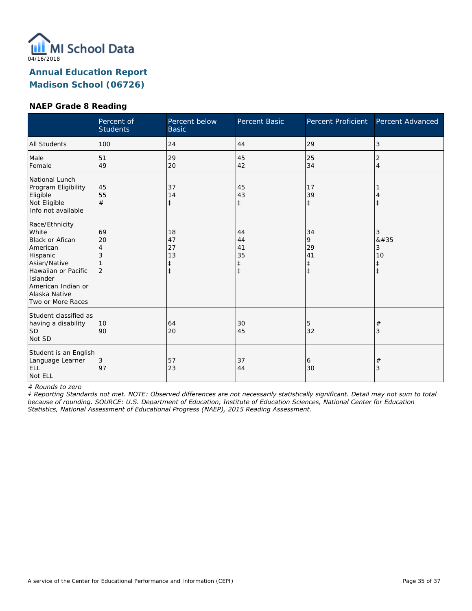

#### **NAEP Grade 8 Reading**

|                                                                                                                                                                                   | Percent of<br><b>Students</b> | Percent below<br><b>Basic</b>           | Percent Basic                                    | Percent Proficient                              | Percent Advanced                            |
|-----------------------------------------------------------------------------------------------------------------------------------------------------------------------------------|-------------------------------|-----------------------------------------|--------------------------------------------------|-------------------------------------------------|---------------------------------------------|
| <b>All Students</b>                                                                                                                                                               | 100                           | 24                                      | 44                                               | 29                                              | 3                                           |
| Male<br>Female                                                                                                                                                                    | 51<br>49                      | 29<br>20                                | 45<br>42                                         | 25<br>34                                        | 2<br>4                                      |
| National Lunch<br>Program Eligibility<br>Eligible<br>Not Eligible<br>Info not available                                                                                           | 45<br>55<br>#                 | 37<br>14<br>$\ddagger$                  | 45<br>43<br>$\ddagger$                           | 17<br>39<br>$\ddagger$                          | İ                                           |
| Race/Ethnicity<br>White<br>Black or Afican<br>American<br>Hispanic<br>Asian/Native<br>Hawaiian or Pacific<br>Islander<br>American Indian or<br>Alaska Native<br>Two or More Races | 69<br>20<br>2                 | 18<br>47<br>27<br>13<br>‡<br>$\ddagger$ | 44<br>44<br>41<br>35<br>$\ddagger$<br>$\ddagger$ | 34<br>9<br>29<br>41<br>$\ddagger$<br>$\ddagger$ | 3<br>#<br>3<br>10<br>$\ddagger$<br>$^\ddag$ |
| Student classified as<br>having a disability<br><b>SD</b><br>Not SD                                                                                                               | 10<br>90                      | 64<br>20                                | 30<br>45                                         | 5<br>32                                         | #<br>3                                      |
| Student is an English<br>Language Learner<br><b>ELL</b><br>Not ELL                                                                                                                | 3<br>97                       | 57<br>23                                | 37<br>44                                         | 6<br>30                                         | $^{\#}$<br>3                                |

*# Rounds to zero*

*‡ Reporting Standards not met. NOTE: Observed differences are not necessarily statistically significant. Detail may not sum to total because of rounding. SOURCE: U.S. Department of Education, Institute of Education Sciences, National Center for Education Statistics, National Assessment of Educational Progress (NAEP), 2015 Reading Assessment.*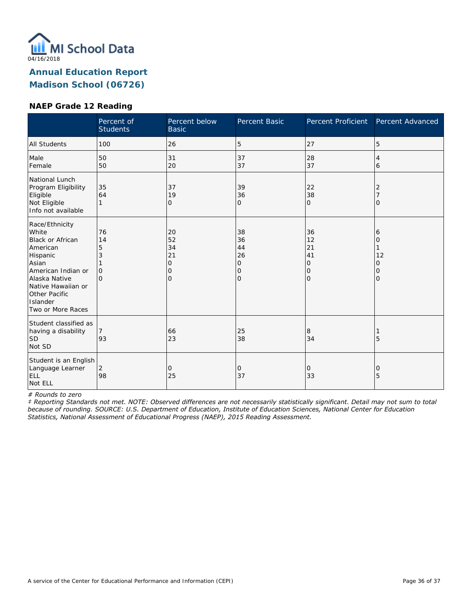

#### **NAEP Grade 12 Reading**

|                                                                                                                                                                                             | Percent of<br><b>Students</b>              | Percent below<br><b>Basic</b>              | Percent Basic                                    | Percent Proficient                         | Percent Advanced                   |
|---------------------------------------------------------------------------------------------------------------------------------------------------------------------------------------------|--------------------------------------------|--------------------------------------------|--------------------------------------------------|--------------------------------------------|------------------------------------|
| <b>All Students</b>                                                                                                                                                                         | 100                                        | 26                                         | 5                                                | 27                                         | 5                                  |
| Male<br>Female                                                                                                                                                                              | 50<br>50                                   | 31<br>20                                   | 37<br>37                                         | 28<br>37                                   | 4<br>6                             |
| National Lunch<br>Program Eligibility<br>Eligible<br>Not Eligible<br>Info not available                                                                                                     | 35<br>64<br>1                              | 37<br>19<br>0                              | 39<br>36<br>0                                    | 22<br>38<br>$\mathbf{O}$                   | 2<br>0                             |
| Race/Ethnicity<br>White<br>Black or African<br>American<br>Hispanic<br>Asian<br>American Indian or<br>Alaska Native<br>Native Hawaiian or<br>Other Pacific<br>Islander<br>Two or More Races | 76<br>14<br>5<br>3<br>$\Omega$<br>$\Omega$ | 20<br>52<br>34<br>21<br>0<br>0<br>$\Omega$ | 38<br>36<br>44<br>26<br>0<br>0<br>$\overline{O}$ | 36<br>12<br>21<br>41<br>0<br>0<br>$\Omega$ | 6<br>0<br>12<br>0<br>0<br>$\Omega$ |
| Student classified as<br>having a disability<br><b>SD</b><br>Not SD                                                                                                                         | 93                                         | 66<br>23                                   | 25<br>38                                         | 8<br>34                                    | 5                                  |
| Student is an English<br>Language Learner<br>ELL<br>Not ELL                                                                                                                                 | $\overline{2}$<br>98                       | $\mathbf{O}$<br>25                         | 0<br>37                                          | 0<br>33                                    | 0<br>5                             |

*# Rounds to zero*

*‡ Reporting Standards not met. NOTE: Observed differences are not necessarily statistically significant. Detail may not sum to total because of rounding. SOURCE: U.S. Department of Education, Institute of Education Sciences, National Center for Education Statistics, National Assessment of Educational Progress (NAEP), 2015 Reading Assessment.*